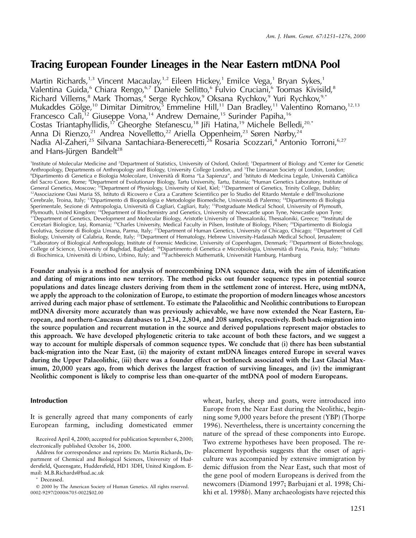# **Tracing European Founder Lineages in the Near Eastern mtDNA Pool**

Martin Richards,<sup>1,3</sup> Vincent Macaulay,<sup>1,2</sup> Eileen Hickey,<sup>1</sup> Emilce Vega,<sup>1</sup> Bryan Sykes,<sup>1</sup> Valentina Guida,<sup>6</sup> Chiara Rengo,<sup>6,7</sup> Daniele Sellitto,<sup>6</sup> Fulvio Cruciani,<sup>6</sup> Toomas Kivisild,<sup>8</sup> Richard Villems,<sup>8</sup> Mark Thomas,<sup>4</sup> Serge Rychkov,<sup>9</sup> Oksana Rychkov,<sup>9</sup> Yuri Rychkov,<sup>9,\*</sup> Mukaddes Gölge,<sup>10</sup> Dimitar Dimitrov,<sup>5</sup> Emmeline Hill,<sup>11</sup> Dan Bradley,<sup>11</sup> Valentino Romano,<sup>12,13</sup> Francesco Calì,<sup>12</sup> Giuseppe Vona,<sup>14</sup> Andrew Demaine,<sup>15</sup> Surinder Papiha,<sup>16</sup> Costas Triantaphyllidis,<sup>17</sup> Gheorghe Stefanescu,<sup>18</sup> Jiři Hatina,<sup>19</sup> Michele Belledi,<sup>20,\*</sup> Anna Di Rienzo,<sup>21</sup> Andrea Novelletto,<sup>22</sup> Ariella Oppenheim,<sup>23</sup> Søren Nørby,<sup>24</sup> Nadia Al-Zaheri,<sup>25</sup> Silvana Santachiara-Benerecetti,<sup>26</sup> Rosaria Scozzari,<sup>4</sup> Antonio Torroni,<sup>6,27</sup> and Hans-Jürgen Bandelt<sup>28</sup>

<sup>1</sup>Institute of Molecular Medicine and <sup>2</sup>Department of Statistics, University of Oxford, Oxford; <sup>3</sup>Department of Biology and <sup>4</sup>Center for Genetic Anthropology, Departments of Anthropology and Biology, University College London, and <sup>5</sup> The Linnaean Society of London, London; "Dipartimento di Genetica e Biologia Molecolare, Università di Roma "La Sapienza", and <sup>7</sup>Istituto di Medicina Legale, Università Cattòlica del Sacro Cuore, Rome; <sup>a</sup>Department of Evolutionary Biology, Tartu University, Tartu, Estonia; <sup>9</sup>Human Genetics Laboratory, Institute of General Genetics, Moscow; <sup>10</sup>Department of Physiology, University of Kiel, Kiel; <sup>11</sup>Department of Genetics, Trinity College, Dublin; <sup>2</sup>Associazione Oasi Maria SS, Istituto di Ricovero e Cura a Carattere Scientifico per lo Studio del Ritardo Mentale e dell<sup>'</sup>Involuzione Cerebrale, Troina, Italy; <sup>13</sup>Dipartimento di Biopatologia e Metodologie Biomediche, Università di Palermo; <sup>14</sup>Dipartimento di Biologia Sperimentale, Sezione di Antropologia, Università di Cagliari, Cagliari, Italy; <sup>15</sup>Postgraduate Medical School, University of Plymouth, Plymouth, United Kingdom; <sup>16</sup>Department of Biochemistry and Genetics, University of Newcastle upon Tyne, Newcastle upon Tyne; <sup>17</sup>Department of Genetics, Development and Molecular Biology, Aristotle University of Thessaloniki, Thessaloniki, Greece; <sup>18</sup>Institutul de Cercetari Biologice, Iasi, Romania; <sup>19</sup>Charles University, Medical Faculty in Pilsen, Institute of Biology, Pilsen; <sup>20</sup>Dipartimento di Biologia Evolutiva, Sezione di Biologia Umana, Parma, Italy; 21Department of Human Genetics, University of Chicago, Chicago; 22Department of Cell Biology, University of Calabria, Rende, Italy; <sup>23</sup>Department of Hematology, Hebrew University-Hadassah Medical School, Jerusalem; <sup>24</sup>Laboratory of Biological Anthropology, Institute of Forensic Medicine, University of Copenhagen, Denmark; <sup>25</sup>Department of Biotechnology, College of Science, University of Baghdad, Baghdad; <sup>26</sup>Dipartimento di Genetica e Microbiologia, Università di Pavia, Pavia, Italy; <sup>27</sup>Istituto di Biochimica, Università di Urbino, Urbino, Italy; and <sup>28</sup>Fachbereich Mathematik, Universität Hamburg, Hamburg

**Founder analysis is a method for analysis of nonrecombining DNA sequence data, with the aim of identification and dating of migrations into new territory. The method picks out founder sequence types in potential source populations and dates lineage clusters deriving from them in the settlement zone of interest. Here, using mtDNA, we apply the approach to the colonization of Europe, to estimate the proportion of modern lineages whose ancestors arrived during each major phase of settlement. To estimate the Palaeolithic and Neolithic contributions to European mtDNA diversity more accurately than was previously achievable, we have now extended the Near Eastern, European, and northern-Caucasus databases to 1,234, 2,804, and 208 samples, respectively. Both back-migration into the source population and recurrent mutation in the source and derived populations represent major obstacles to this approach. We have developed phylogenetic criteria to take account of both these factors, and we suggest a way to account for multiple dispersals of common sequence types. We conclude that (i) there has been substantial back-migration into the Near East, (ii) the majority of extant mtDNA lineages entered Europe in several waves during the Upper Palaeolithic, (iii) there was a founder effect or bottleneck associated with the Last Glacial Maximum, 20,000 years ago, from which derives the largest fraction of surviving lineages, and (iv) the immigrant Neolithic component is likely to comprise less than one-quarter of the mtDNA pool of modern Europeans.**

### **Introduction**

It is generally agreed that many components of early European farming, including domesticated emmer

<sup>∗</sup> Deceased.

wheat, barley, sheep and goats, were introduced into Europe from the Near East during the Neolithic, beginning some 9,000 years before the present (YBP) (Thorpe 1996). Nevertheless, there is uncertainty concerning the nature of the spread of these components into Europe. Two extreme hypotheses have been proposed. The replacement hypothesis suggests that the onset of agriculture was accompanied by extensive immigration by demic diffusion from the Near East, such that most of the gene pool of modern Europeans is derived from the newcomers (Diamond 1997; Barbujani et al. 1998; Chikhi et al. 1998*b*). Many archaeologists have rejected this

Received April 4, 2000; accepted for publication September 6, 2000; electronically published October 16, 2000.

Address for correspondence and reprints: Dr. Martin Richards, Department of Chemical and Biological Sciences, University of Huddersfield, Queensgate, Huddersfield, HD1 3DH, United Kingdom. Email: M.B.Richards@hud.ac.uk

 $Q$  2000 by The American Society of Human Genetics. All rights reserved. 0002-9297/2000/6705-0022\$02.00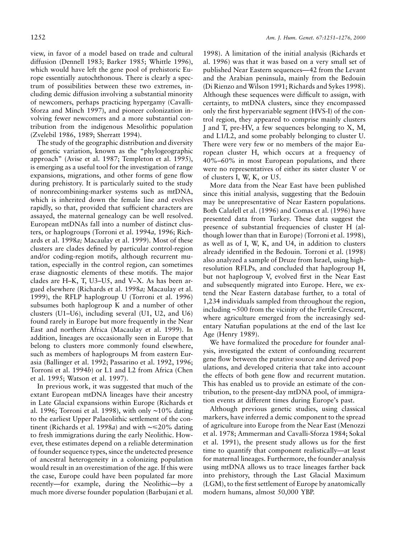view, in favor of a model based on trade and cultural diffusion (Dennell 1983; Barker 1985; Whittle 1996), which would have left the gene pool of prehistoric Europe essentially autochthonous. There is clearly a spectrum of possibilities between these two extremes, including demic diffusion involving a substantial minority of newcomers, perhaps practicing hypergamy (Cavalli-Sforza and Minch 1997), and pioneer colonization involving fewer newcomers and a more substantial contribution from the indigenous Mesolithic population (Zvelebil 1986, 1989; Sherratt 1994).

The study of the geographic distribution and diversity of genetic variation, known as the "phylogeographic approach" (Avise et al. 1987; Templeton et al. 1995), is emerging as a useful tool for the investigation of range expansions, migrations, and other forms of gene flow during prehistory. It is particularly suited to the study of nonrecombining-marker systems such as mtDNA, which is inherited down the female line and evolves rapidly, so that, provided that sufficient characters are assayed, the maternal genealogy can be well resolved. European mtDNAs fall into a number of distinct clusters, or haplogroups (Torroni et al. 1994*a,* 1996; Richards et al. 1998*a;* Macaulay et al. 1999). Most of these clusters are clades defined by particular control-region and/or coding-region motifs, although recurrent mutation, especially in the control region, can sometimes erase diagnostic elements of these motifs. The major clades are H–K, T, U3–U5, and V–X. As has been argued elsewhere (Richards et al. 1998*a;* Macaulay et al. 1999), the RFLP haplogroup U (Torroni et al. 1996) subsumes both haplogroup K and a number of other clusters (U1–U6), including several (U1, U2, and U6) found rarely in Europe but more frequently in the Near East and northern Africa (Macaulay et al. 1999). In addition, lineages are occasionally seen in Europe that belong to clusters more commonly found elsewhere, such as members of haplogroups M from eastern Eurasia (Ballinger et al. 1992; Passarino et al. 1992, 1996; Torroni et al. 1994*b*) or L1 and L2 from Africa (Chen et al. 1995; Watson et al. 1997).

In previous work, it was suggested that much of the extant European mtDNA lineages have their ancestry in Late Glacial expansions within Europe (Richards et al. 1996; Torroni et al. 1998), with only ∼10% dating to the earliest Upper Palaeolithic settlement of the continent (Richards et al. 1998*a*) and with ∼<20% dating to fresh immigrations during the early Neolithic. However, these estimates depend on a reliable determination of founder sequence types, since the undetected presence of ancestral heterogeneity in a colonizing population would result in an overestimation of the age. If this were the case, Europe could have been populated far more recently—for example, during the Neolithic—by a much more diverse founder population (Barbujani et al.

1998). A limitation of the initial analysis (Richards et al. 1996) was that it was based on a very small set of published Near Eastern sequences—42 from the Levant and the Arabian peninsula, mainly from the Bedouin (Di Rienzo and Wilson 1991; Richards and Sykes 1998). Although these sequences were difficult to assign, with certainty, to mtDNA clusters, since they encompassed only the first hypervariable segment (HVS-I) of the control region, they appeared to comprise mainly clusters J and T, pre-HV, a few sequences belonging to X, M, and L1/L2, and some probably belonging to cluster U. There were very few or no members of the major European cluster H, which occurs at a frequency of 40%–60% in most European populations, and there were no representatives of either its sister cluster V or of clusters I, W, K, or U5.

More data from the Near East have been published since this initial analysis, suggesting that the Bedouin may be unrepresentative of Near Eastern populations. Both Calafell et al. (1996) and Comas et al. (1996) have presented data from Turkey. These data suggest the presence of substantial frequencies of cluster H (although lower than that in Europe) (Torroni et al. 1998), as well as of I, W, K, and U4, in addition to clusters already identified in the Bedouin. Torroni et al. (1998) also analyzed a sample of Druze from Israel, using highresolution RFLPs, and concluded that haplogroup H, but not haplogroup V, evolved first in the Near East and subsequently migrated into Europe. Here, we extend the Near Eastern database further, to a total of 1,234 individuals sampled from throughout the region, including ∼500 from the vicinity of the Fertile Crescent, where agriculture emerged from the increasingly sedentary Natufian populations at the end of the last Ice Age (Henry 1989).

We have formalized the procedure for founder analysis, investigated the extent of confounding recurrent gene flow between the putative source and derived populations, and developed criteria that take into account the effects of both gene flow and recurrent mutation. This has enabled us to provide an estimate of the contribution, to the present-day mtDNA pool, of immigration events at different times during Europe's past.

Although previous genetic studies, using classical markers, have inferred a demic component to the spread of agriculture into Europe from the Near East (Menozzi et al. 1978; Ammerman and Cavalli-Sforza 1984; Sokal et al. 1991), the present study allows us for the first time to quantify that component realistically—at least for maternal lineages. Furthermore, the founder analysis using mtDNA allows us to trace lineages farther back into prehistory, through the Last Glacial Maximum (LGM), to the first settlement of Europe by anatomically modern humans, almost 50,000 YBP.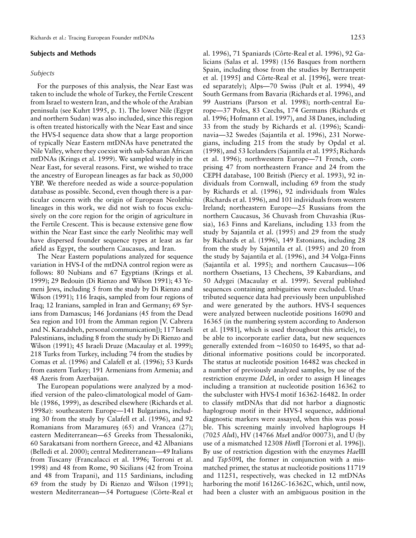#### **Subjects and Methods**

#### *Subjects*

For the purposes of this analysis, the Near East was taken to include the whole of Turkey, the Fertile Crescent from Israel to western Iran, and the whole of the Arabian peninsula (see Kuhrt 1995, p. 1). The lower Nile (Egypt and northern Sudan) was also included, since this region is often treated historically with the Near East and since the HVS-I sequence data show that a large proportion of typically Near Eastern mtDNAs have penetrated the Nile Valley, where they coexist with sub-Saharan African mtDNAs (Krings et al. 1999). We sampled widely in the Near East, for several reasons. First, we wished to trace the ancestry of European lineages as far back as 50,000 YBP. We therefore needed as wide a source-population database as possible. Second, even though there is a particular concern with the origin of European Neolithic lineages in this work, we did not wish to focus exclusively on the core region for the origin of agriculture in the Fertile Crescent. This is because extensive gene flow within the Near East since the early Neolithic may well have dispersed founder sequence types at least as far afield as Egypt, the southern Caucasus, and Iran.

The Near Eastern populations analyzed for sequence variation in HVS-I of the mtDNA control region were as follows: 80 Nubians and 67 Egyptians (Krings et al. 1999); 29 Bedouin (Di Rienzo and Wilson 1991); 43 Yemeni Jews, including 5 from the study by Di Rienzo and Wilson (1991); 116 Iraqis, sampled from four regions of Iraq; 12 Iranians, sampled in Iran and Germany; 69 Syrians from Damascus; 146 Jordanians (45 from the Dead Sea region and 101 from the Amman region [V. Cabrera and N. Karadsheh, personal communication]); 117 Israeli Palestinians, including 8 from the study by Di Rienzo and Wilson (1991); 45 Israeli Druze (Macaulay et al. 1999); 218 Turks from Turkey, including 74 from the studies by Comas et al. (1996) and Calafell et al. (1996); 53 Kurds from eastern Turkey; 191 Armenians from Armenia; and 48 Azeris from Azerbaijan.

The European populations were analyzed by a modified version of the paleo-climatological model of Gamble (1986, 1999), as described elsewhere (Richards et al. 1998*a*): southeastern Europe—141 Bulgarians, including 30 from the study by Calafell et al. (1996), and 92 Romanians from Maramures (65) and Vrancea (27); eastern Mediterranean—65 Greeks from Thessaloniki, 60 Sarakatsani from northern Greece, and 42 Albanians (Belledi et al. 2000); central Mediterranean—49 Italians from Tuscany (Francalacci et al. 1996; Torroni et al. 1998) and 48 from Rome, 90 Sicilians (42 from Troina and 48 from Trapani), and 115 Sardinians, including 69 from the study by Di Rienzo and Wilson (1991); western Mediterranean—54 Portuguese (Côrte-Real et

al. 1996), 71 Spaniards (Côrte-Real et al. 1996), 92 Galicians (Salas et al. 1998) (156 Basques from northern Spain, including those from the studies by Bertranpetit et al. [1995] and Côrte-Real et al. [1996], were treated separately); Alps—70 Swiss (Pult et al. 1994), 49 South Germans from Bavaria (Richards et al. 1996), and 99 Austrians (Parson et al. 1998); north-central Europe—37 Poles, 83 Czechs, 174 Germans (Richards et al. 1996; Hofmann et al. 1997), and 38 Danes, including 33 from the study by Richards et al. (1996); Scandinavia—32 Swedes (Sajantila et al. 1996), 231 Norwegians, including 215 from the study by Opdal et al. (1998), and 53 Icelanders (Sajantila et al. 1995; Richards et al. 1996); northwestern Europe—71 French, comprising 47 from northeastern France and 24 from the CEPH database, 100 British (Piercy et al. 1993), 92 individuals from Cornwall, including 69 from the study by Richards et al. (1996), 92 individuals from Wales (Richards et al. 1996), and 101 individuals from western Ireland; northeastern Europe—25 Russians from the northern Caucasus, 36 Chuvash from Chuvashia (Russia), 163 Finns and Karelians, including 133 from the study by Sajantila et al. (1995) and 29 from the study by Richards et al. (1996), 149 Estonians, including 28 from the study by Sajantila et al. (1995) and 20 from the study by Sajantila et al. (1996), and 34 Volga-Finns (Sajantila et al. 1995); and northern Caucasus—106 northern Ossetians, 13 Chechens, 39 Kabardians, and 50 Adygei (Macaulay et al. 1999). Several published sequences containing ambiguities were excluded. Unattributed sequence data had previously been unpublished and were generated by the authors. HVS-I sequences were analyzed between nucleotide positions 16090 and 16365 (in the numbering system according to Anderson et al. [1981], which is used throughout this article), to be able to incorporate earlier data, but new sequences generally extended from ∼16050 to 16495, so that additional informative positions could be incorporated. The status at nucleotide position 16482 was checked in a number of previously analyzed samples, by use of the restriction enzyme *Dde*I, in order to assign H lineages including a transition at nucleotide position 16362 to the subcluster with HVS-I motif 16362-16482. In order to classify mtDNAs that did not harbor a diagnostic haplogroup motif in their HVS-I sequence, additional diagnostic markers were assayed, when this was possible. This screening mainly involved haplogroups H (7025 *Alu*I), HV (14766 *Mse*I and/or 00073), and U (by use of a mismatched 12308 *Hin*fI [Torroni et al. 1996]). By use of restriction digestion with the enzymes *Hae*III and *Tsp*509I, the former in conjunction with a mismatched primer, the status at nucleotide positions 11719 and 11251, respectively, was checked in 12 mtDNAs harboring the motif 16126C-16362C, which, until now, had been a cluster with an ambiguous position in the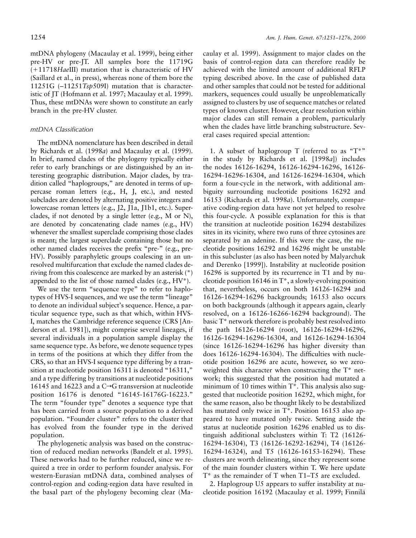mtDNA phylogeny (Macaulay et al. 1999), being either pre-HV or pre-JT. All samples bore the 11719G (111718*Hae*III) mutation that is characteristic of HV (Saillard et al., in press), whereas none of them bore the 11251G (–11251*Tsp*509I) mutation that is characteristic of JT (Hofmann et al. 1997; Macaulay et al. 1999). Thus, these mtDNAs were shown to constitute an early branch in the pre-HV cluster.

#### *mtDNA Classification*

The mtDNA nomenclature has been described in detail by Richards et al. (1998*a*) and Macaulay et al. (1999). In brief, named clades of the phylogeny typically either refer to early branchings or are distinguished by an interesting geographic distribution. Major clades, by tradition called "haplogroups," are denoted in terms of uppercase roman letters (e.g., H, J, etc.), and nested subclades are denoted by alternating positive integers and lowercase roman letters (e.g., J2, J1a, J1b1, etc.). Superclades, if not denoted by a single letter (e.g., M or N), are denoted by concatenating clade names (e.g., HV) whenever the smallest superclade comprising those clades is meant; the largest superclade containing those but no other named clades receives the prefix "pre-" (e.g., pre-HV). Possibly paraphyletic groups coalescing in an unresolved multifurcation that exclude the named clades deriving from this coalescence are marked by an asterisk (\*) appended to the list of those named clades (e.g.,  $HV^*$ ).

We use the term "sequence type" to refer to haplotypes of HVS-I sequences, and we use the term "lineage" to denote an individual subject's sequence. Hence, a particular sequence type, such as that which, within HVS-I, matches the Cambridge reference sequence (CRS [Anderson et al. 1981]), might comprise several lineages, if several individuals in a population sample display the same sequence type. As before, we denote sequence types in terms of the positions at which they differ from the CRS, so that an HVS-I sequence type differing by a transition at nucleotide position 16311 is denoted "16311," and a type differing by transitions at nucleotide positions 16145 and 16223 and a C $\rightarrow$ G transversion at nucleotide position 16176 is denoted "16145-16176G-16223." The term "founder type" denotes a sequence type that has been carried from a source population to a derived population. "Founder cluster" refers to the cluster that has evolved from the founder type in the derived population.

The phylogenetic analysis was based on the construction of reduced median networks (Bandelt et al. 1995). These networks had to be further reduced, since we required a tree in order to perform founder analysis. For western-Eurasian mtDNA data, combined analyses of control-region and coding-region data have resulted in the basal part of the phylogeny becoming clear (Ma-

caulay et al. 1999). Assignment to major clades on the basis of control-region data can therefore readily be achieved with the limited amount of additional RFLP typing described above. In the case of published data and other samples that could not be tested for additional markers, sequences could usually be unproblematically assigned to clusters by use of sequence matches or related types of known cluster. However, clear resolution within major clades can still remain a problem, particularly when the clades have little branching substructure. Several cases required special attention:

1. A subset of haplogroup T (referred to as " $T^*$ " in the study by Richards et al. [1998*a*]) includes the nodes 16126-16294, 16126-16294-16296, 16126- 16294-16296-16304, and 16126-16294-16304, which form a four-cycle in the network, with additional ambiguity surrounding nucleotide positions 16292 and 16153 (Richards et al. 1998*a*). Unfortunately, comparative coding-region data have not yet helped to resolve this four-cycle. A possible explanation for this is that the transition at nucleotide position 16294 destabilizes sites in its vicinity, where two runs of three cytosines are separated by an adenine. If this were the case, the nucleotide positions 16292 and 16296 might be unstable in this subcluster (as also has been noted by Malyarchuk and Derenko [1999]). Instability at nucleotide position 16296 is supported by its recurrence in T1 and by nucleotide position  $16146$  in T<sup>\*</sup>, a slowly-evolving position that, nevertheless, occurs on both 16126-16294 and 16126-16294-16296 backgrounds; 16153 also occurs on both backgrounds (although it appears again, clearly resolved, on a 16126-16266-16294 background). The basic T\* network therefore is probably best resolved into the path 16126-16294 (root), 16126-16294-16296, 16126-16294-16296-16304, and 16126-16294-16304 (since 16126-16294-16296 has higher diversity than does 16126-16294-16304). The difficulties with nucleotide position 16296 are acute, however, so we zeroweighted this character when constructing the T\* network; this suggested that the position had mutated a minimum of 10 times within  $T^*$ . This analysis also suggested that nucleotide position 16292, which might, for the same reason, also be thought likely to be destabilized has mutated only twice in T<sup>\*</sup>. Position 16153 also appeared to have mutated only twice. Setting aside the status at nucleotide position 16296 enabled us to distinguish additional subclusters within T: T2 (16126- 16294-16304), T3 (16126-16292-16294), T4 (16126- 16294-16324), and T5 (16126-16153-16294). These clusters are worth delineating, since they represent some of the main founder clusters within T. We here update T\* as the remainder of T when T1–T5 are excluded.

2. Haplogroup U5 appears to suffer instability at nucleotide position 16192 (Macaulay et al. 1999; Finnilä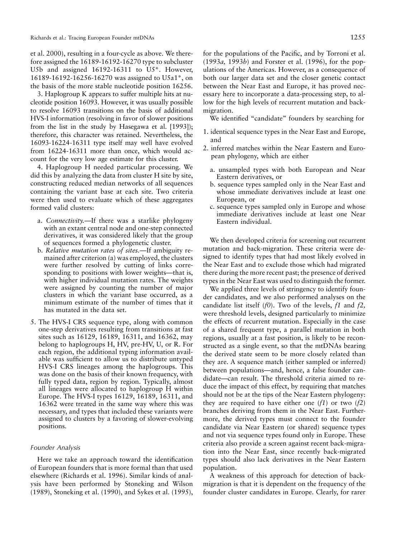et al. 2000), resulting in a four-cycle as above. We therefore assigned the 16189-16192-16270 type to subcluster U5b and assigned 16192-16311 to U5\*. However, 16189-16192-16256-16270 was assigned to U5a1\*, on the basis of the more stable nucleotide position 16256.

3. Haplogroup K appears to suffer multiple hits at nucleotide position 16093. However, it was usually possible to resolve 16093 transitions on the basis of additional HVS-I information (resolving in favor of slower positions from the list in the study by Hasegawa et al. [1993]); therefore, this character was retained. Nevertheless, the 16093-16224-16311 type itself may well have evolved from 16224-16311 more than once, which would account for the very low age estimate for this cluster.

4. Haplogroup H needed particular processing. We did this by analyzing the data from cluster H site by site, constructing reduced median networks of all sequences containing the variant base at each site. Two criteria were then used to evaluate which of these aggregates formed valid clusters:

- a. *Connectivity.*—If there was a starlike phylogeny with an extant central node and one-step connected derivatives, it was considered likely that the group of sequences formed a phylogenetic cluster.
- b. *Relative mutation rates of sites.*—If ambiguity remained after criterion (a) was employed, the clusters were further resolved by cutting of links corresponding to positions with lower weights—that is, with higher individual mutation rates. The weights were assigned by counting the number of major clusters in which the variant base occurred, as a minimum estimate of the number of times that it has mutated in the data set.
- 5. The HVS-I CRS sequence type, along with common one-step derivatives resulting from transitions at fast sites such as 16129, 16189, 16311, and 16362, may belong to haplogroups H, HV, pre-HV, U, or R. For each region, the additional typing information available was sufficient to allow us to distribute untyped HVS-I CRS lineages among the haplogroups. This was done on the basis of their known frequency, with fully typed data, region by region. Typically, almost all lineages were allocated to haplogroup H within Europe. The HVS-I types 16129, 16189, 16311, and 16362 were treated in the same way where this was necessary, and types that included these variants were assigned to clusters by a favoring of slower-evolving positions.

#### *Founder Analysis*

Here we take an approach toward the identification of European founders that is more formal than that used elsewhere (Richards et al. 1996). Similar kinds of analysis have been performed by Stoneking and Wilson (1989), Stoneking et al. (1990), and Sykes et al. (1995), for the populations of the Pacific, and by Torroni et al. (1993*a,* 1993*b*) and Forster et al. (1996), for the populations of the Americas. However, as a consequence of both our larger data set and the closer genetic contact between the Near East and Europe, it has proved necessary here to incorporate a data-processing step, to allow for the high levels of recurrent mutation and backmigration.

We identified "candidate" founders by searching for

- 1. identical sequence types in the Near East and Europe, and
- 2. inferred matches within the Near Eastern and European phylogeny, which are either
	- a. unsampled types with both European and Near Eastern derivatives, or
	- b. sequence types sampled only in the Near East and whose immediate derivatives include at least one European, or
	- c. sequence types sampled only in Europe and whose immediate derivatives include at least one Near Eastern individual.

We then developed criteria for screening out recurrent mutation and back-migration. These criteria were designed to identify types that had most likely evolved in the Near East and to exclude those which had migrated there during the more recent past; the presence of derived types in the Near East was used to distinguish the former.

We applied three levels of stringency to identify founder candidates, and we also performed analyses on the candidate list itself (*f0*). Two of the levels, *f1* and *f2,* were threshold levels, designed particularly to minimize the effects of recurrent mutation. Especially in the case of a shared frequent type, a parallel mutation in both regions, usually at a fast position, is likely to be reconstructed as a single event, so that the mtDNAs bearing the derived state seem to be more closely related than they are. A sequence match (either sampled or inferred) between populations—and, hence, a false founder candidate—can result. The threshold criteria aimed to reduce the impact of this effect, by requiring that matches should not be at the tips of the Near Eastern phylogeny: they are required to have either one  $(f1)$  or two  $(f2)$ branches deriving from them in the Near East. Furthermore, the derived types must connect to the founder candidate via Near Eastern (or shared) sequence types and not via sequence types found only in Europe. These criteria also provide a screen against recent back-migration into the Near East, since recently back-migrated types should also lack derivatives in the Near Eastern population.

A weakness of this approach for detection of backmigration is that it is dependent on the frequency of the founder cluster candidates in Europe. Clearly, for rarer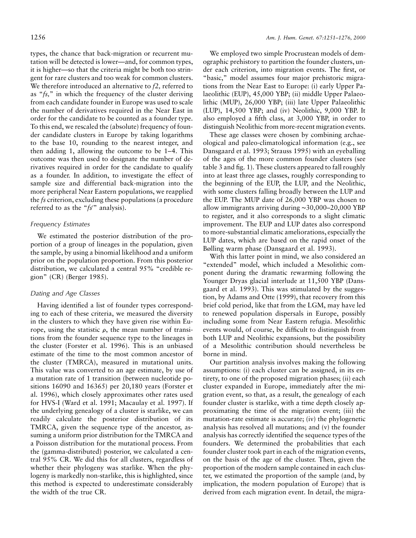types, the chance that back-migration or recurrent mutation will be detected is lower—and, for common types, it is higher—so that the criteria might be both too stringent for rare clusters and too weak for common clusters. We therefore introduced an alternative to *f2,* referred to as "*fs,*" in which the frequency of the cluster deriving from each candidate founder in Europe was used to scale the number of derivatives required in the Near East in order for the candidate to be counted as a founder type. To this end, we rescaled the (absolute) frequency of founder candidate clusters in Europe by taking logarithms to the base 10, rounding to the nearest integer, and then adding 1, allowing the outcome to be 1–4. This outcome was then used to designate the number of derivatives required in order for the candidate to qualify as a founder. In addition, to investigate the effect of sample size and differential back-migration into the more peripheral Near Eastern populations, we reapplied the *fs* criterion, excluding these populations (a procedure referred to as the "*fs*<sup>"</sup> analysis).

### *Frequency Estimates*

We estimated the posterior distribution of the proportion of a group of lineages in the population, given the sample, by using a binomial likelihood and a uniform prior on the population proportion. From this posterior distribution, we calculated a central 95% "credible region" (CR) (Berger 1985).

## *Dating and Age Classes*

Having identified a list of founder types corresponding to each of these criteria, we measured the diversity in the clusters to which they have given rise within Europe, using the statistic  $\rho$ , the mean number of transitions from the founder sequence type to the lineages in the cluster (Forster et al. 1996). This is an unbiased estimate of the time to the most common ancestor of the cluster (TMRCA), measured in mutational units. This value was converted to an age estimate, by use of a mutation rate of 1 transition (between nucleotide positions 16090 and 16365) per 20,180 years (Forster et al. 1996), which closely approximates other rates used for HVS-I (Ward et al. 1991; Macaulay et al. 1997). If the underlying genealogy of a cluster is starlike, we can readily calculate the posterior distribution of its TMRCA, given the sequence type of the ancestor, assuming a uniform prior distribution for the TMRCA and a Poisson distribution for the mutational process. From the (gamma-distributed) posterior, we calculated a central 95% CR. We did this for all clusters, regardless of whether their phylogeny was starlike. When the phylogeny is markedly non-starlike, this is highlighted, since this method is expected to underestimate considerably the width of the true CR.

We employed two simple Procrustean models of demographic prehistory to partition the founder clusters, under each criterion, into migration events. The first, or "basic," model assumes four major prehistoric migrations from the Near East to Europe: (i) early Upper Palaeolithic (EUP), 45,000 YBP; (ii) middle Upper Palaeolithic (MUP), 26,000 YBP; (iii) late Upper Palaeolithic (LUP), 14,500 YBP; and (iv) Neolithic, 9,000 YBP. It also employed a fifth class, at 3,000 YBP, in order to distinguish Neolithic from more-recent migration events.

These age classes were chosen by combining archaeological and paleo-climatological information (e.g., see Dansgaard et al. 1993; Strauss 1995) with an eyeballing of the ages of the more common founder clusters (see table 3 and fig. 1). These clusters appeared to fall roughly into at least three age classes, roughly corresponding to the beginning of the EUP, the LUP, and the Neolithic, with some clusters falling broadly between the LUP and the EUP. The MUP date of 26,000 YBP was chosen to allow immigrants arriving during ∼30,000–20,000 YBP to register, and it also corresponds to a slight climatic improvement. The EUP and LUP dates also correspond to more-substantial climatic ameliorations, especially the LUP dates, which are based on the rapid onset of the Bølling warm phase (Dansgaard et al. 1993).

With this latter point in mind, we also considered an "extended" model, which included a Mesolithic component during the dramatic rewarming following the Younger Dryas glacial interlude at 11,500 YBP (Dansgaard et al. 1993). This was stimulated by the suggestion, by Adams and Otte (1999), that recovery from this brief cold period, like that from the LGM, may have led to renewed population dispersals in Europe, possibly including some from Near Eastern refugia. Mesolithic events would, of course, be difficult to distinguish from both LUP and Neolithic expansions, but the possibility of a Mesolithic contribution should nevertheless be borne in mind.

Our partition analysis involves making the following assumptions: (i) each cluster can be assigned, in its entirety, to one of the proposed migration phases; (ii) each cluster expanded in Europe, immediately after the migration event, so that, as a result, the genealogy of each founder cluster is starlike, with a time depth closely approximating the time of the migration event; (iii) the mutation-rate estimate is accurate; (iv) the phylogenetic analysis has resolved all mutations; and (v) the founder analysis has correctly identified the sequence types of the founders. We determined the probabilities that each founder cluster took part in each of the migration events, on the basis of the age of the cluster. Then, given the proportion of the modern sample contained in each cluster, we estimated the proportion of the sample (and, by implication, the modern population of Europe) that is derived from each migration event. In detail, the migra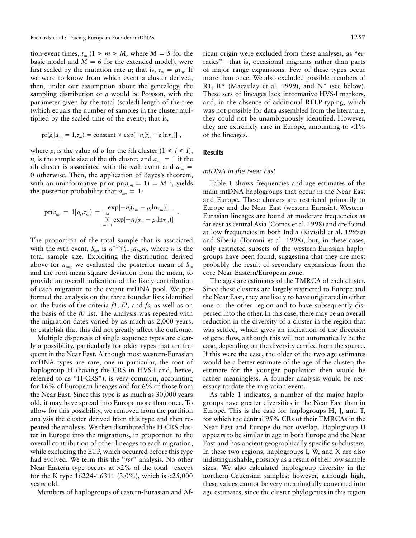tion-event times,  $t_m$  ( $1 \le m \le M$ , where  $M = 5$  for the basic model and  $M = 6$  for the extended model), were first scaled by the mutation rate  $\mu$ ; that is,  $\tau_m = \mu t_m$ . If we were to know from which event a cluster derived, then, under our assumption about the genealogy, the sampling distribution of  $\rho$  would be Poisson, with the parameter given by the total (scaled) length of the tree (which equals the number of samples in the cluster multiplied by the scaled time of the event); that is,

$$
\mathrm{pr}(\rho_i|a_{im}=1,\tau_m)=\mathrm{constant}\times\exp[-n_i(\tau_m-\rho_i\ln\tau_m)]\ ,
$$

where  $\rho_i$  is the value of  $\rho$  for the *i*th cluster ( $1 \le i \le I$ ),  $n_i$  is the sample size of the *i*th cluster, and  $a_{im} = 1$  if the *i*th cluster is associated with the *m*th event and  $a_{im}$ 0 otherwise. Then, the application of Bayes's theorem, with an uninformative prior  $pr(a_{im} = 1) = M^{-1}$ , yields the posterior probability that  $a_{im} = 1$ :

$$
\text{pr}(a_{im} = 1 | \rho_i, \tau_m) = \frac{\exp[-n_i(\tau_m - \rho_i \ln \tau_m)]}{\sum_{m=1}^{M} \exp[-n_i(\tau_m - \rho_i \ln \tau_m)]} \; .
$$

The proportion of the total sample that is associated with the *m*th event,  $S_m$ , is  $n^{-1} \sum_{i=1}^{I} a_{im} n_i$ , where *n* is the total sample size. Exploiting the distribution derived above for  $a_{im}$ , we evaluated the posterior mean of  $S_m$ and the root-mean-square deviation from the mean, to provide an overall indication of the likely contribution of each migration to the extant mtDNA pool. We performed the analysis on the three founder lists identified on the basis of the criteria *f1, f2,* and *fs,* as well as on the basis of the *f0* list. The analysis was repeated with the migration dates varied by as much as 2,000 years, to establish that this did not greatly affect the outcome.

Multiple dispersals of single sequence types are clearly a possibility, particularly for older types that are frequent in the Near East. Although most western-Eurasian mtDNA types are rare, one in particular, the root of haplogroup H (having the CRS in HVS-I and, hence, referred to as "H-CRS"), is very common, accounting for 16% of European lineages and for 6% of those from the Near East. Since this type is as much as 30,000 years old, it may have spread into Europe more than once. To allow for this possibility, we removed from the partition analysis the cluster derived from this type and then repeated the analysis. We then distributed the H-CRS cluster in Europe into the migrations, in proportion to the overall contribution of other lineages to each migration, while excluding the EUP, which occurred before this type had evolved. We term this the "*fsr*" analysis. No other Near Eastern type occurs at  $>2\%$  of the total—except for the K type  $16224-16311$   $(3.0\%)$ , which is  $\lt 25,000$ years old.

Members of haplogroups of eastern-Eurasian and Af-

rican origin were excluded from these analyses, as "erratics"—that is, occasional migrants rather than parts of major range expansions. Few of these types occur more than once. We also excluded possible members of R1,  $R^*$  (Macaulay et al. 1999), and  $N^*$  (see below). These sets of lineages lack informative HVS-I markers, and, in the absence of additional RFLP typing, which was not possible for data assembled from the literature, they could not be unambiguously identified. However, they are extremely rare in Europe, amounting to  $< 1\%$ of the lineages.

#### **Results**

#### *mtDNA in the Near East*

Table 1 shows frequencies and age estimates of the main mtDNA haplogroups that occur in the Near East and Europe. These clusters are restricted primarily to Europe and the Near East (western Eurasia). Western-Eurasian lineages are found at moderate frequencies as far east as central Asia (Comas et al. 1998) and are found at low frequencies in both India (Kivisild et al. 1999*a*) and Siberia (Torroni et al. 1998), but, in these cases, only restricted subsets of the western-Eurasian haplogroups have been found, suggesting that they are most probably the result of secondary expansions from the core Near Eastern/European zone.

The ages are estimates of the TMRCA of each cluster. Since these clusters are largely restricted to Europe and the Near East, they are likely to have originated in either one or the other region and to have subsequently dispersed into the other. In this case, there may be an overall reduction in the diversity of a cluster in the region that was settled, which gives an indication of the direction of gene flow, although this will not automatically be the case, depending on the diversity carried from the source. If this were the case, the older of the two age estimates would be a better estimate of the age of the cluster; the estimate for the younger population then would be rather meaningless. A founder analysis would be necessary to date the migration event.

As table 1 indicates, a number of the major haplogroups have greater diversities in the Near East than in Europe. This is the case for haplogroups H, J, and T, for which the central 95% CRs of their TMRCAs in the Near East and Europe do not overlap. Haplogroup U appears to be similar in age in both Europe and the Near East and has ancient geographically specific subclusters. In these two regions, haplogroups I, W, and X are also indistinguishable, possibly as a result of their low sample sizes. We also calculated haplogroup diversity in the northern-Caucasian samples; however, although high, these values cannot be very meaningfully converted into age estimates, since the cluster phylogenies in this region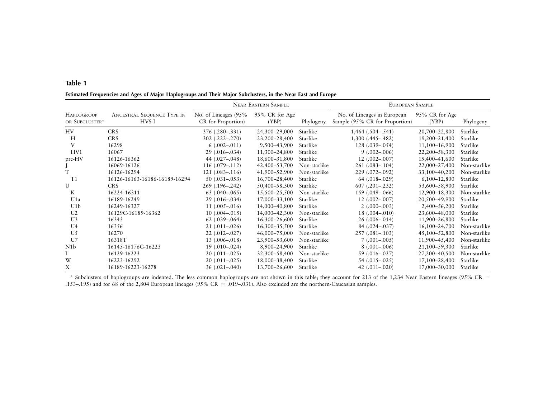|                                                 |                                     |                                            | <b>NEAR EASTERN SAMPLE</b> |              | <b>EUROPEAN SAMPLE</b>                                        |                         |              |  |
|-------------------------------------------------|-------------------------------------|--------------------------------------------|----------------------------|--------------|---------------------------------------------------------------|-------------------------|--------------|--|
| <b>HAPLOGROUP</b><br>OR SUBCLUSTER <sup>a</sup> | ANCESTRAL SEQUENCE TYPE IN<br>HVS-I | No. of Lineages (95%<br>CR for Proportion) | 95% CR for Age<br>(YBP)    | Phylogeny    | No. of Lineages in European<br>Sample (95% CR for Proportion) | 95% CR for Age<br>(YBP) | Phylogeny    |  |
| <b>HV</b>                                       | <b>CRS</b>                          | $376(.280-.331)$                           | 24,300-29,000              | Starlike     | $1,464$ $(.504-.541)$                                         | 20,700-22,800           | Starlike     |  |
| Η                                               | <b>CRS</b>                          | $302(.222-.270)$                           | 23,200-28,400              | Starlike     | $1,300$ $(.445-.482)$                                         | 19,200-21,400           | Starlike     |  |
| V                                               | 16298                               | $6(.002-.011)$                             | 9,500-43,900               | Starlike     | $128(.039-.054)$                                              | 11,100-16,900           | Starlike     |  |
| HV1                                             | 16067                               | $29(.016-.034)$                            | 11,300-24,800              | Starlike     | $9(.002-.006)$                                                | 22,200-58,300           | Starlike     |  |
| pre-HV                                          | 16126-16362                         | 44 (.027 - .048)                           | 18,600-31,800              | Starlike     | $12(.002-.007)$                                               | 15,400-41,600           | Starlike     |  |
|                                                 | 16069-16126                         | $116(.079-.112)$                           | 42,400-53,700              | Non-starlike | $261(.083 - .104)$                                            | 22,000-27,400           | Non-starlike |  |
| T                                               | 16126-16294                         | $121(.083-.116)$                           | 41,900-52,900              | Non-starlike | $229(.072-.092)$                                              | 33,100-40,200           | Non-starlike |  |
| T1                                              | 16126-16163-16186-16189-16294       | $50(.031 - .053)$                          | 16,700-28,400              | Starlike     | $64(.018-.029)$                                               | $6,100 - 12,800$        | Starlike     |  |
| U                                               | <b>CRS</b>                          | $269(.196-.242)$                           | 50,400-58,300              | Starlike     | $607$ (.201-.232)                                             | 53,600-58,900           | Starlike     |  |
| K                                               | 16224-16311                         | $63(.040-.065)$                            | 15,500-25,500              | Non-starlike | $159(.049-.066)$                                              | 12,900-18,300           | Non-starlike |  |
| U <sub>1</sub> a                                | 16189-16249                         | $29(.016-.034)$                            | 17,000-33,100              | Starlike     | $12(.002 - .007)$                                             | 20,500-49,900           | Starlike     |  |
| U <sub>1</sub> b                                | 16249-16327                         | $11(.005-.016)$                            | 14,000-40,800              | Starlike     | $2(.000-.003)$                                                | 2,400-56,200            | Starlike     |  |
| U <sub>2</sub>                                  | 16129C-16189-16362                  | $10(.004-.015)$                            | 14,000-42,300              | Non-starlike | $18(.004-.010)$                                               | 23,600-48,000           | Starlike     |  |
| U <sub>3</sub>                                  | 16343                               | $62(.039-.064)$                            | 16,300-26,600              | Starlike     | $26(.006-.014)$                                               | 11,900-26,800           | Starlike     |  |
| U <sub>4</sub>                                  | 16356                               | $21(.011-.026)$                            | 16,300-35,500              | Starlike     | $84(.024-.037)$                                               | 16,100-24,700           | Non-starlike |  |
| U <sub>5</sub>                                  | 16270                               | $22(.012-.027)$                            | 46,000-75,000              | Non-starlike | $257(.081 - .103)$                                            | 45,100-52,800           | Non-starlike |  |
| $U$ 7                                           | 16318T                              | $13(.006-.018)$                            | 23,900-53,600              | Non-starlike | $7(.001 - .005)$                                              | 11,900-45,400           | Non-starlike |  |
| N <sub>1</sub> b                                | 16145-16176G-16223                  | $19(.010-.024)$                            | 8,900-24,900               | Starlike     | $8(.001-.006)$                                                | 21,100-59,300           | Starlike     |  |
|                                                 | 16129-16223                         | $20(.011-.025)$                            | 32,300-58,400              | Non-starlike | $59(.016 - .027)$                                             | 27,200-40,500           | Non-starlike |  |
| W                                               | 16223-16292                         | $20(.011-.025)$                            | 18,000-38,400              | Starlike     | $54(.015-.025)$                                               | 17,100-28,400           | Starlike     |  |
| X                                               | 16189-16223-16278                   | $36(.021 - .040)$                          | 13,700-26,600              | Starlike     | 42 $(.011-.020)$                                              | 17,000-30,000           | Starlike     |  |

**Table 1** Estimated Frequencies and Ages of Major Haplogroups and Their Major Subclusters, in the Near East and Europe

 $^{\circ}$  Subclusters of haplogroups are indented. The less common haplogroups are not shown in this table; they account for 213 of the 1,234 Near Eastern lineages (95% CR  $=$ .153–.195) and for 68 of the 2,804 European lineages (95% CR = .019–.031). Also excluded are the northern-Caucasian samples.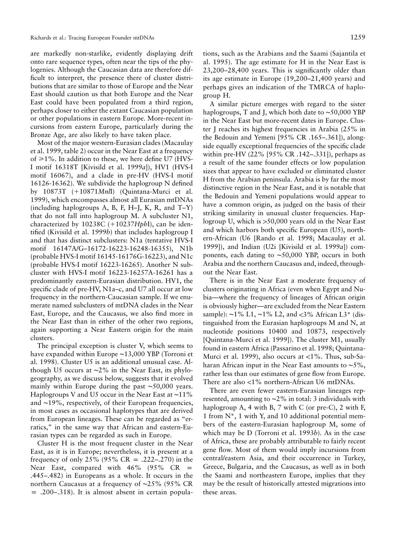are markedly non-starlike, evidently displaying drift onto rare sequence types, often near the tips of the phylogenies. Although the Caucasian data are therefore difficult to interpret, the presence there of cluster distributions that are similar to those of Europe and the Near East should caution us that both Europe and the Near East could have been populated from a third region, perhaps closer to either the extant Caucasian population or other populations in eastern Europe. More-recent incursions from eastern Europe, particularly during the Bronze Age, are also likely to have taken place.

Most of the major western-Eurasian clades (Macaulay et al. 1999, table 2) occur in the Near East at a frequency of  $\geq 1\%$ . In addition to these, we here define U7 (HVS-I motif 16318T [Kivisild et al. 1999*a*]), HV1 (HVS-I motif 16067), and a clade in pre-HV (HVS-I motif 16126-16362). We subdivide the haplogroup N defined by 10873T (110871*Mnl*I) (Quintana-Murci et al. 1999), which encompasses almost all Eurasian mtDNAs  $(including haplogroups A, B, F, H-J, K, R, and T-Y)$ that do not fall into haplogroup M. A subcluster N1, characterized by 10238C (+10237*HphI*), can be identified (Kivisild et al. 1999*b*) that includes haplogroup I and that has distinct subclusters: N1a (tentative HVS-I motif 16147A/G–16172-16223-16248-16355), N1b (probable HVS-I motif 16145-16176G-16223), and N1c (probable HVS-I motif 16223-16265). Another N subcluster with HVS-I motif 16223-16257A-16261 has a predominantly eastern-Eurasian distribution. HV1, the specific clade of pre-HV, N1a–c, and U7 all occur at low frequency in the northern-Caucasian sample. If we enumerate named subclusters of mtDNA clades in the Near East, Europe, and the Caucasus, we also find more in the Near East than in either of the other two regions, again supporting a Near Eastern origin for the main clusters.

The principal exception is cluster V, which seems to have expanded within Europe ∼13,000 YBP (Torroni et al. 1998). Cluster U5 is an additional unusual case. Although U5 occurs at ∼2% in the Near East, its phylogeography, as we discuss below, suggests that it evolved mainly within Europe during the past ∼50,000 years. Haplogroups V and U5 occur in the Near East at ∼11% and ∼19%, respectively, of their European frequencies, in most cases as occasional haplotypes that are derived from European lineages. These can be regarded as "erratics," in the same way that African and eastern-Eurasian types can be regarded as such in Europe.

Cluster H is the most frequent cluster in the Near East, as it is in Europe; nevertheless, it is present at a frequency of only 25% (95% CR = .222–.270) in the Near East, compared with  $46\%$  (95% CR = .445–.482) in Europeans as a whole. It occurs in the northern Caucasus at a frequency of ∼25% (95% CR  $= .200-.318$ ). It is almost absent in certain popula-

tions, such as the Arabians and the Saami (Sajantila et al. 1995). The age estimate for H in the Near East is 23,200–28,400 years. This is significantly older than its age estimate in Europe (19,200–21,400 years) and perhaps gives an indication of the TMRCA of haplogroup H.

A similar picture emerges with regard to the sister haplogroups, T and J, which both date to ∼50,000 YBP in the Near East but more-recent dates in Europe. Cluster J reaches its highest frequencies in Arabia (25% in the Bedouin and Yemeni [95% CR .165–.361]), alongside equally exceptional frequencies of the specific clade within pre-HV (22% [95% CR .142–.331]), perhaps as a result of the same founder effects or low population sizes that appear to have excluded or eliminated cluster H from the Arabian peninsula. Arabia is by far the most distinctive region in the Near East, and it is notable that the Bedouin and Yemeni populations would appear to have a common origin, as judged on the basis of their striking similarity in unusual cluster frequencies. Haplogroup U, which is  $>50,000$  years old in the Near East and which harbors both specific European (U5), northern-African (U6 [Rando et al. 1998; Macaulay et al. 1999]), and Indian (U2i [Kivisild et al. 1999*a*]) components, each dating to ∼50,000 YBP, occurs in both Arabia and the northern Caucasus and, indeed, throughout the Near East.

There is in the Near East a moderate frequency of clusters originating in Africa (even when Egypt and Nubia—where the frequency of lineages of African origin is obviously higher—are excluded from the Near Eastern sample): ~1% L1, ~1% L2, and <3% African L3\* (distinguished from the Eurasian haplogroups M and N, at nucleotide positions 10400 and 10873, respectively [Quintana-Murci et al. 1999]). The cluster M1, usually found in eastern Africa (Passarino et al. 1998; Quintana-Murci et al. 1999), also occurs at  $\langle 1\%$ . Thus, sub-Saharan African input in the Near East amounts to ∼5%, rather less than our estimates of gene flow from Europe. There are also  $\langle 1\%$  northern-African U6 mtDNAs.

There are even fewer eastern-Eurasian lineages represented, amounting to ∼2% in total: 3 individuals with haplogroup A, 4 with B, 7 with C (or pre-C), 2 with F, 1 from  $N^*$ , 1 with Y, and 10 additional potential members of the eastern-Eurasian haplogroup M, some of which may be D (Torroni et al. 1993*b*). As in the case of Africa, these are probably attributable to fairly recent gene flow. Most of them would imply incursions from central/eastern Asia, and their occurrence in Turkey, Greece, Bulgaria, and the Caucasus, as well as in both the Saami and northeastern Europe, implies that they may be the result of historically attested migrations into these areas.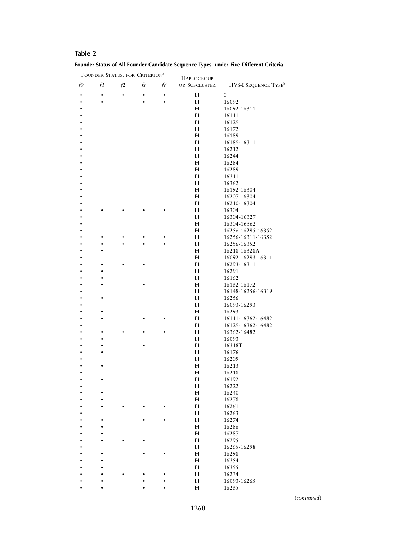# **Table 2**

|  | Founder Status of All Founder Candidate Sequence Types, under Five Different Criteria |  |  |
|--|---------------------------------------------------------------------------------------|--|--|
|--|---------------------------------------------------------------------------------------|--|--|

|         | FOUNDER STATUS, FOR CRITERION <sup>a</sup> |           | HAPLOGROUP |     |                |                                         |
|---------|--------------------------------------------|-----------|------------|-----|----------------|-----------------------------------------|
| $f_{0}$ | f1                                         | f2        | fs         | fs' | OR SUBCLUSTER  | <b>HVS-I SEQUENCE TYPE</b> <sup>b</sup> |
| ٠       | $\bullet$                                  | $\bullet$ | $\bullet$  | ٠   | H              | $\boldsymbol{0}$                        |
|         |                                            |           |            |     | H              | 16092                                   |
|         |                                            |           |            |     | H              | 16092-16311                             |
|         |                                            |           |            |     | H              | 16111                                   |
|         |                                            |           |            |     | $H_{\rm}$      | 16129                                   |
|         |                                            |           |            |     | H              | 16172                                   |
|         |                                            |           |            |     | H              | 16189                                   |
|         |                                            |           |            |     | $H_{\rm}$      | 16189-16311                             |
|         |                                            |           |            |     | H              | 16212                                   |
|         |                                            |           |            |     | H              | 16244                                   |
|         |                                            |           |            |     | $H_{\rm}$      | 16284                                   |
|         |                                            |           |            |     | H              | 16289                                   |
|         |                                            |           |            |     | H              | 16311                                   |
|         |                                            |           |            |     | $H_{\rm}$      | 16362                                   |
|         |                                            |           |            |     | H              | 16192-16304                             |
|         |                                            |           |            |     | H              | 16207-16304                             |
|         |                                            |           |            |     | $H_{\rm}$      | 16210-16304                             |
|         |                                            |           |            |     | H              | 16304                                   |
|         |                                            |           |            |     | $H_{\rm}$      | 16304-16327                             |
|         |                                            |           |            |     | H              | 16304-16362                             |
|         |                                            |           |            |     | H              | 16256-16295-16352<br>16256-16311-16352  |
|         |                                            |           |            |     | H              |                                         |
|         |                                            |           |            |     | $H_{\rm}$      | 16256-16352<br>16218-16328A             |
|         |                                            |           |            |     | Н              |                                         |
|         |                                            |           |            |     | $H_{\rm}$<br>H | 16092-16293-16311<br>16293-16311        |
|         |                                            |           |            |     |                |                                         |
|         |                                            |           |            |     | H<br>$H_{\rm}$ | 16291<br>16162                          |
|         |                                            |           |            |     | H              | 16162-16172                             |
|         |                                            |           |            |     | H              | 16148-16256-16319                       |
|         |                                            |           |            |     | H              | 16256                                   |
|         |                                            |           |            |     | H              | 16093-16293                             |
|         |                                            |           |            |     | H              | 16293                                   |
|         |                                            |           |            |     | H              | 16111-16362-16482                       |
|         |                                            |           |            |     | H              | 16129-16362-16482                       |
|         |                                            |           |            |     | $H_{\rm}$      | 16362-16482                             |
|         |                                            |           |            |     | H              | 16093                                   |
|         |                                            |           |            |     | H              | 16318T                                  |
|         |                                            |           |            |     | $H_{\rm}$      | 16176                                   |
|         |                                            |           |            |     | H              | 16209                                   |
|         |                                            |           |            |     | H              | 16213                                   |
|         |                                            |           |            |     | H              | 16218                                   |
|         |                                            |           |            |     | Η              | 16192                                   |
|         |                                            |           |            |     | $H_{\rm}$      | 16222                                   |
|         |                                            |           |            |     | $H_{\rm}$      | 16240                                   |
|         |                                            |           |            |     | H              | 16278                                   |
|         |                                            |           |            |     | $H_{\rm}$      | 16261                                   |
|         |                                            |           |            |     | $H_{\rm}$      | 16263                                   |
|         |                                            |           |            |     | H              | 16274                                   |
|         |                                            |           |            |     | $H_{\rm}$      | 16286                                   |
|         |                                            |           |            |     | $H_{\rm}$      | 16287                                   |
|         |                                            |           |            |     | H              | 16295                                   |
|         |                                            |           |            |     | $H_{\rm}$      | 16265-16298                             |
|         |                                            |           |            |     | $H_{\rm}$      | 16298                                   |
|         |                                            |           |            |     | H              | 16354                                   |
|         |                                            |           |            |     | $H_{\rm}$      | 16355                                   |
|         |                                            |           |            |     | $H_{\rm}$      | 16234                                   |
|         |                                            |           |            |     | $H_{\rm}$      | 16093-16265                             |
|         |                                            |           |            |     | $H_{\rm}$      | 16265                                   |

(*continued*)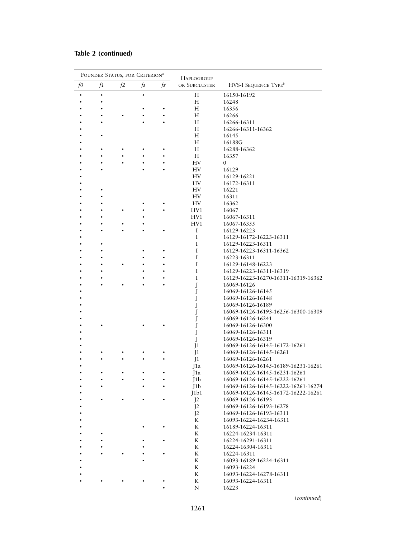# **Table 2 (continued)**

| fО | f1        | f2 | fs | fs | HAPLOGROUP<br>OR SUBCLUSTER | <b>HVS-I SEQUENCE TYPE</b> <sup>b</sup>                  |
|----|-----------|----|----|----|-----------------------------|----------------------------------------------------------|
|    | $\bullet$ |    |    |    | Н                           | 16150-16192                                              |
|    |           |    |    |    | Н                           | 16248                                                    |
|    |           |    |    |    | H                           | 16356                                                    |
|    |           |    |    |    | Н                           | 16266                                                    |
|    |           |    |    |    | H                           | 16266-16311                                              |
|    |           |    |    |    | H                           | 16266-16311-16362                                        |
|    |           |    |    |    | Н                           | 16145                                                    |
|    |           |    |    |    | H                           | 16188G                                                   |
|    |           |    |    |    | H                           | 16288-16362                                              |
|    |           |    |    |    | H                           | 16357                                                    |
|    |           |    |    |    | HV                          | $\mathbf{0}$                                             |
|    |           |    |    |    | HV                          | 16129                                                    |
|    |           |    |    |    | HV                          | 16129-16221                                              |
|    |           |    |    |    | HV                          | 16172-16311                                              |
|    |           |    |    |    | HV                          | 16221                                                    |
|    |           |    |    |    | HV                          | 16311                                                    |
|    |           |    |    |    | HV                          | 16362                                                    |
|    |           |    |    |    | HV1                         | 16067                                                    |
|    |           |    |    |    | HV1                         | 16067-16311                                              |
|    |           |    |    |    | HV1                         | 16067-16355                                              |
|    |           |    |    |    | I                           | 16129-16223                                              |
|    |           |    |    |    | I                           | 16129-16172-16223-16311                                  |
|    |           |    |    |    | I                           | 16129-16223-16311                                        |
|    |           |    |    |    | I                           | 16129-16223-16311-16362                                  |
|    |           |    |    |    | I                           | 16223-16311                                              |
|    |           |    |    |    | I                           | 16129-16148-16223                                        |
|    |           |    |    |    | I                           | 16129-16223-16311-16319                                  |
|    |           |    |    |    | I                           | 16129-16223-16270-16311-16319-16362                      |
|    |           |    |    |    | J                           | 16069-16126                                              |
|    |           |    |    |    | J                           | 16069-16126-16145                                        |
|    |           |    |    |    | J                           | 16069-16126-16148                                        |
|    |           |    |    |    |                             | 16069-16126-16189                                        |
|    |           |    |    |    | J                           | 16069-16126-16193-16256-16300-16309                      |
|    |           |    |    |    | J                           | 16069-16126-16241                                        |
|    |           |    |    |    | J                           | 16069-16126-16300                                        |
|    |           |    |    |    | J                           | 16069-16126-16311                                        |
|    |           |    |    |    | J                           | 16069-16126-16319                                        |
|    |           |    |    |    | $\mathsf{I}1$               | 16069-16126-16145-16172-16261                            |
|    |           |    |    |    | J1                          | 16069-16126-16145-16261                                  |
|    |           |    |    |    | J1                          | 16069-16126-16261<br>16069-16126-16145-16189-16231-16261 |
|    |           |    |    |    | J1a<br>J1a                  | 16069-16126-16145-16231-16261                            |
|    |           |    |    |    |                             | 16069-16126-16145-16222-16261                            |
|    |           |    |    |    | J1b<br>11 <sub>b</sub>      | 16069-16126-16145-16222-16261-16274                      |
|    |           |    |    |    | J1b1                        | 16069-16126-16145-16172-16222-16261                      |
|    |           |    |    |    | J2                          | 16069-16126-16193                                        |
|    |           |    |    |    | J <sub>2</sub>              | 16069-16126-16193-16278                                  |
|    |           |    |    |    | J2                          | 16069-16126-16193-16311                                  |
|    |           |    |    |    | K                           | 16093-16224-16234-16311                                  |
|    |           |    |    |    | K                           | 16189-16224-16311                                        |
|    |           |    |    |    | K                           | 16224-16234-16311                                        |
|    |           |    |    |    | K                           | 16224-16291-16311                                        |
|    |           |    |    |    | K                           | 16224-16304-16311                                        |
|    |           |    |    |    | K                           | 16224-16311                                              |
|    |           |    |    |    | K                           |                                                          |
|    |           |    |    |    | K                           | 16093-16189-16224-16311                                  |
|    |           |    |    |    | K                           | 16093-16224                                              |
|    |           |    |    |    |                             | 16093-16224-16278-16311                                  |
|    |           |    |    |    | K<br>N                      | 16093-16224-16311<br>16223                               |

(*continued*)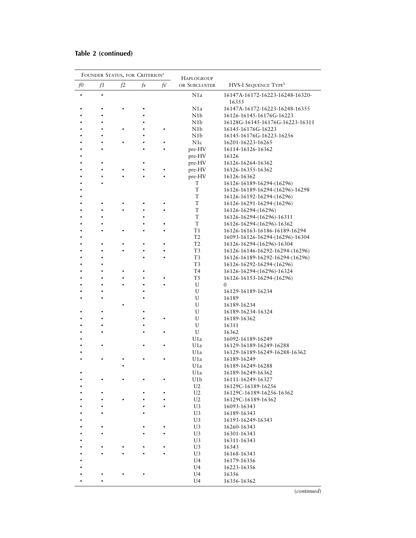# **Table 2 (continued)**

|    |    | FOUNDER STATUS, FOR CRITERION <sup>a</sup> |    |     | <b>HAPLOGROUP</b>                |                                                              |
|----|----|--------------------------------------------|----|-----|----------------------------------|--------------------------------------------------------------|
| f0 | f1 | f2                                         | fs | fs' | OR SUBCLUSTER                    | <b>HVS-I SEQUENCE TYPE</b> <sup>b</sup>                      |
|    |    |                                            |    |     | N <sub>1</sub> a                 | 16147A-16172-16223-16248-16320-                              |
|    |    |                                            |    |     |                                  | 16355                                                        |
|    |    |                                            |    |     | N1a                              | 16147A-16172-16223-16248-16355                               |
|    |    |                                            |    |     | N <sub>1</sub> b                 | 16126-16145-16176G-16223                                     |
|    |    |                                            |    |     | N1b                              | 16128G-16145-16176G-16223-16311                              |
|    |    |                                            |    |     | N1b                              | 16145-16176G-16223                                           |
|    |    |                                            |    |     | N1b<br>N <sub>1</sub> c          | 16145-16176G-16223-16256<br>16201-16223-16265                |
|    |    |                                            |    |     | pre-HV                           | 16114-16126-16362                                            |
|    |    |                                            |    |     | pre-HV                           | 16126                                                        |
|    |    |                                            |    |     | pre-HV                           | 16126-16264-16362                                            |
|    |    |                                            |    |     | pre-HV                           | 16126-16355-16362                                            |
|    |    |                                            |    |     | pre-HV                           | 16126-16362                                                  |
|    |    |                                            |    |     | T                                | 16126-16189-16294-(16296)                                    |
|    |    |                                            |    |     | T                                | 16126-16189-16294-(16296)-16298                              |
|    |    |                                            |    |     | T                                | 16126-16192-16294-(16296)                                    |
|    |    |                                            |    |     | T                                | 16126-16291-16294-(16296)                                    |
|    |    |                                            |    |     | T                                | 16126-16294-(16296)                                          |
|    |    |                                            |    |     | T                                | 16126-16294-(16296)-16311                                    |
|    |    |                                            |    |     | $\mathbf T$                      | 16126-16294-(16296)-16362                                    |
|    |    |                                            |    |     | T1                               | 16126-16163-16186-16189-16294                                |
|    |    |                                            |    |     | T <sub>2</sub>                   | 16093-16126-16294-(16296)-16304                              |
|    |    |                                            |    |     | T <sub>2</sub>                   | 16126-16294-(16296)-16304                                    |
|    |    |                                            |    |     | T <sub>3</sub>                   | 16126-16146-16292-16294-(16296)                              |
|    |    |                                            |    |     | T <sub>3</sub><br>T <sub>3</sub> | 16126-16189-16292-16294-(16296)<br>16126-16292-16294-(16296) |
|    |    |                                            |    |     | T <sub>4</sub>                   | 16126-16294-(16296)-16324                                    |
|    |    |                                            |    |     | T5                               | 16126-16153-16294-(16296)                                    |
|    |    |                                            |    |     | U                                | $\mathbf{0}$                                                 |
|    |    |                                            |    |     | U                                | 16129-16189-16234                                            |
|    |    |                                            |    |     | U                                | 16189                                                        |
|    |    |                                            |    |     | U                                | 16189-16234                                                  |
|    |    |                                            |    |     | U                                | 16189-16234-16324                                            |
|    |    |                                            |    |     | U                                | 16189-16362                                                  |
|    |    |                                            |    |     | U                                | 16311                                                        |
|    |    |                                            |    |     | U                                | 16362                                                        |
|    |    |                                            |    |     | U <sub>1</sub> a                 | 16092-16189-16249                                            |
|    |    |                                            |    |     | U1a                              | 16129-16189-16249-16288                                      |
|    |    |                                            |    |     | U1a<br>U <sub>1</sub> a          | 16129-16189-16249-16288-16362<br>16189-16249                 |
|    |    |                                            |    |     | U1a                              | 16189-16249-16288                                            |
|    |    |                                            |    |     | U1a                              | 16189-16249-16362                                            |
|    |    |                                            |    |     | U <sub>1</sub> b                 | 16111-16249-16327                                            |
|    |    |                                            |    |     | U <sub>2</sub>                   | 16129C-16189-16256                                           |
|    |    |                                            |    |     | U <sub>2</sub>                   | 16129C-16189-16256-16362                                     |
|    |    |                                            |    |     | U <sub>2</sub>                   | 16129C-16189-16362                                           |
|    |    |                                            |    |     | U3                               | 16093-16343                                                  |
|    |    |                                            |    |     | U3                               | 16189-16343                                                  |
|    |    |                                            |    |     | U3                               | 16193-16249-16343                                            |
|    |    |                                            |    |     | U3                               | 16260-16343                                                  |
|    |    |                                            |    |     | U3                               | 16301-16343                                                  |
|    |    |                                            |    |     | U3                               | 16311-16343                                                  |
|    |    |                                            |    |     | U3                               | 16343                                                        |
|    |    |                                            |    |     | U3                               | 16168-16343                                                  |
|    |    |                                            |    |     | U4                               | 16179-16356                                                  |
|    |    |                                            |    |     | U4                               | 16223-16356                                                  |
|    |    |                                            |    |     | U4                               | 16356                                                        |
|    |    |                                            |    |     | U4                               | 16356-16362                                                  |

(*continued*)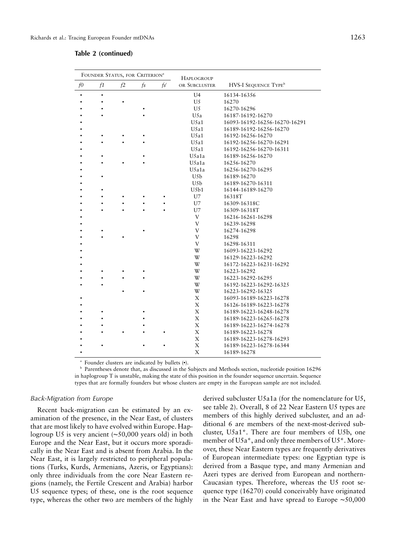#### **Table 2 (continued)**

|    |    | FOUNDER STATUS, FOR CRITERION <sup>a</sup> |                   |        | HAPLOGROUP      |                                         |
|----|----|--------------------------------------------|-------------------|--------|-----------------|-----------------------------------------|
| f0 | f1 | f2                                         | $f_{\mathcal{S}}$ | $f_S'$ | OR SUBCLUSTER   | <b>HVS-I SEQUENCE TYPE</b> <sup>b</sup> |
|    |    |                                            |                   |        | U <sub>4</sub>  | 16134-16356                             |
|    |    |                                            |                   |        | U <sub>5</sub>  | 16270                                   |
|    |    |                                            |                   |        | U <sub>5</sub>  | 16270-16296                             |
|    |    |                                            |                   |        | U5a             | 16187-16192-16270                       |
|    |    |                                            |                   |        | U5a1            | 16093-16192-16256-16270-16291           |
|    |    |                                            |                   |        | U5a1            | 16189-16192-16256-16270                 |
|    |    |                                            |                   |        | U5a1            | 16192-16256-16270                       |
|    |    |                                            |                   |        | U5a1            | 16192-16256-16270-16291                 |
|    |    |                                            |                   |        | U5a1            | 16192-16256-16270-16311                 |
|    |    |                                            |                   |        | U5a1a           | 16189-16256-16270                       |
|    |    |                                            |                   |        | U5a1a           | 16256-16270                             |
|    |    |                                            |                   |        | U5a1a           | 16256-16270-16295                       |
|    |    |                                            |                   |        | U5 <sub>b</sub> | 16189-16270                             |
|    |    |                                            |                   |        | U <sub>5</sub>  | 16189-16270-16311                       |
|    |    |                                            |                   |        | U5b1            | 16144-16189-16270                       |
|    |    |                                            |                   |        | U7              | 16318T                                  |
|    |    |                                            |                   |        | U7              | 16309-16318C                            |
|    |    |                                            |                   |        | U7              | 16309-16318T                            |
|    |    |                                            |                   |        | V               | 16216-16261-16298                       |
|    |    |                                            |                   |        | V               | 16239-16298                             |
|    |    |                                            |                   |        | V               | 16274-16298                             |
|    |    |                                            |                   |        | V               | 16298                                   |
|    |    |                                            |                   |        | V               | 16298-16311                             |
|    |    |                                            |                   |        | W               | 16093-16223-16292                       |
|    |    |                                            |                   |        | W               | 16129-16223-16292                       |
|    |    |                                            |                   |        | W               | 16172-16223-16231-16292                 |
|    |    |                                            |                   |        | W               | 16223-16292                             |
|    |    |                                            |                   |        | W               | 16223-16292-16295                       |
|    |    |                                            |                   |        | W               | 16192-16223-16292-16325                 |
|    |    |                                            |                   |        | W               | 16223-16292-16325                       |
|    |    |                                            |                   |        | X               | 16093-16189-16223-16278                 |
|    |    |                                            |                   |        | X               | 16126-16189-16223-16278                 |
|    |    |                                            |                   |        | X               | 16189-16223-16248-16278                 |
|    |    |                                            |                   |        | X               | 16189-16223-16265-16278                 |
|    |    |                                            |                   |        | X               | 16189-16223-16274-16278                 |
|    |    |                                            |                   |        | X               | 16189-16223-16278                       |
|    |    |                                            |                   |        | X               | 16189-16223-16278-16293                 |
|    |    |                                            |                   |        | X               | 16189-16223-16278-16344                 |
|    |    |                                            |                   |        | X               | 16189-16278                             |

<sup>a</sup> Founder clusters are indicated by bullets (•).

<sup>b</sup> Parentheses denote that, as discussed in the Subjects and Methods section, nucleotide position 16296 in haplogroup T is unstable, making the state of this position in the founder sequence uncertain. Sequence types that are formally founders but whose clusters are empty in the European sample are not included.

#### *Back-Migration from Europe*

Recent back-migration can be estimated by an examination of the presence, in the Near East, of clusters that are most likely to have evolved within Europe. Haplogroup U5 is very ancient (∼50,000 years old) in both Europe and the Near East, but it occurs more sporadically in the Near East and is absent from Arabia. In the Near East, it is largely restricted to peripheral populations (Turks, Kurds, Armenians, Azeris, or Egyptians): only three individuals from the core Near Eastern regions (namely, the Fertile Crescent and Arabia) harbor U5 sequence types; of these, one is the root sequence type, whereas the other two are members of the highly derived subcluster U5a1a (for the nomenclature for U5, see table 2). Overall, 8 of 22 Near Eastern U5 types are members of this highly derived subcluster, and an additional 6 are members of the next-most-derived subcluster, U5a1\*. There are four members of U5b, one member of U5a\*, and only three members of U5\*. Moreover, these Near Eastern types are frequently derivatives of European intermediate types: one Egyptian type is derived from a Basque type, and many Armenian and Azeri types are derived from European and northern-Caucasian types. Therefore, whereas the U5 root sequence type (16270) could conceivably have originated in the Near East and have spread to Europe ∼50,000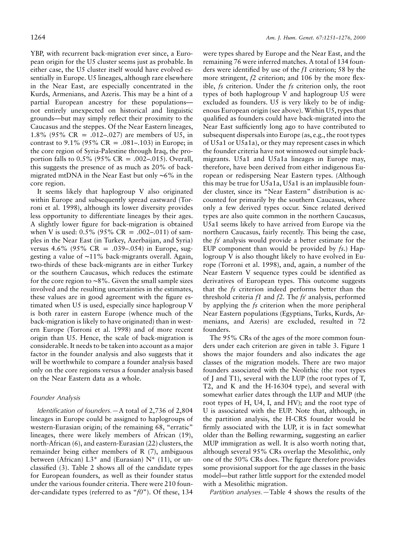YBP, with recurrent back-migration ever since, a European origin for the U5 cluster seems just as probable. In either case, the U5 cluster itself would have evolved essentially in Europe. U5 lineages, although rare elsewhere in the Near East, are especially concentrated in the Kurds, Armenians, and Azeris. This may be a hint of a partial European ancestry for these populations not entirely unexpected on historical and linguistic grounds—but may simply reflect their proximity to the Caucasus and the steppes. Of the Near Eastern lineages, 1.8% (95% CR = .012–.027) are members of U5, in contrast to 9.1% (95% CR = .081–.103) in Europe; in the core region of Syria-Palestine through Iraq, the proportion falls to  $0.5\%$  (95% CR = .002–.015). Overall, this suggests the presence of as much as 20% of backmigrated mtDNA in the Near East but only ∼6% in the core region.

It seems likely that haplogroup V also originated within Europe and subsequently spread eastward (Torroni et al. 1998), although its lower diversity provides less opportunity to differentiate lineages by their ages. A slightly lower figure for back-migration is obtained when V is used:  $0.5\%$  (95% CR = .002–.011) of samples in the Near East (in Turkey, Azerbaijan, and Syria) versus 4.6% (95% CR = .039–.054) in Europe, suggesting a value of ∼11% back-migrants overall. Again, two-thirds of these back-migrants are in either Turkey or the southern Caucasus, which reduces the estimate for the core region to ∼8%. Given the small sample sizes involved and the resulting uncertainties in the estimates, these values are in good agreement with the figure estimated when U5 is used, especially since haplogroup V is both rarer in eastern Europe (whence much of the back-migration is likely to have originated) than in western Europe (Torroni et al. 1998) and of more recent origin than U5. Hence, the scale of back-migration is considerable. It needs to be taken into account as a major factor in the founder analysis and also suggests that it will be worthwhile to compare a founder analysis based only on the core regions versus a founder analysis based on the Near Eastern data as a whole.

#### *Founder Analysis*

*Identification of founders.—*A total of 2,736 of 2,804 lineages in Europe could be assigned to haplogroups of western-Eurasian origin; of the remaining 68, "erratic" lineages, there were likely members of African (19), north-African (6), and eastern-Eurasian (22) clusters, the remainder being either members of R (7), ambiguous between (African)  $L3^*$  and (Eurasian)  $N^*$  (11), or unclassified (3). Table 2 shows all of the candidate types for European founders, as well as their founder status under the various founder criteria. There were 210 founder-candidate types (referred to as "*f0*"). Of these, 134

were types shared by Europe and the Near East, and the remaining 76 were inferred matches. A total of 134 founders were identified by use of the *f1* criterion; 58 by the more stringent,  $f2$  criterion; and 106 by the more flexible, *fs* criterion. Under the *fs* criterion only, the root types of both haplogroup V and haplogroup U5 were excluded as founders. U5 is very likely to be of indigenous European origin (see above). Within U5, types that qualified as founders could have back-migrated into the Near East sufficiently long ago to have contributed to subsequent dispersals into Europe (as, e.g., the root types of U5a1 or U5a1a), or they may represent cases in which the founder criteria have not winnowed out simple backmigrants. U5a1 and U5a1a lineages in Europe may, therefore, have been derived from either indigenous European or redispersing Near Eastern types. (Although this may be true for U5a1a, U5a1 is an implausible founder cluster, since its "Near Eastern" distribution is accounted for primarily by the southern Caucasus, where only a few derived types occur. Since related derived types are also quite common in the northern Caucasus, U5a1 seems likely to have arrived from Europe via the northern Caucasus, fairly recently. This being the case, the *fs'* analysis would provide a better estimate for the EUP component than would be provided by *fs*.) Haplogroup V is also thought likely to have evolved in Europe (Torroni et al. 1998), and, again, a number of the Near Eastern V sequence types could be identified as derivatives of European types. This outcome suggests that the *fs* criterion indeed performs better than the threshold criteria  $f1$  and  $f2$ . The  $f5'$  analysis, performed by applying the *fs* criterion when the more peripheral Near Eastern populations (Egyptians, Turks, Kurds, Armenians, and Azeris) are excluded, resulted in 72 founders.

The 95% CRs of the ages of the more common founders under each criterion are given in table 3. Figure 1 shows the major founders and also indicates the age classes of the migration models. There are two major founders associated with the Neolithic (the root types of J and T1), several with the LUP (the root types of T, T2, and K and the H-16304 type), and several with somewhat earlier dates through the LUP and MUP (the root types of H, U4, I, and HV); and the root type of U is associated with the EUP. Note that, although, in the partition analysis, the H-CRS founder would be firmly associated with the LUP, it is in fact somewhat older than the Bølling rewarming, suggesting an earlier MUP immigration as well. It is also worth noting that, although several 95% CRs overlap the Mesolithic, only one of the 50% CRs does. The figure therefore provides some provisional support for the age classes in the basic model—but rather little support for the extended model with a Mesolithic migration.

*Partition analyses.—*Table 4 shows the results of the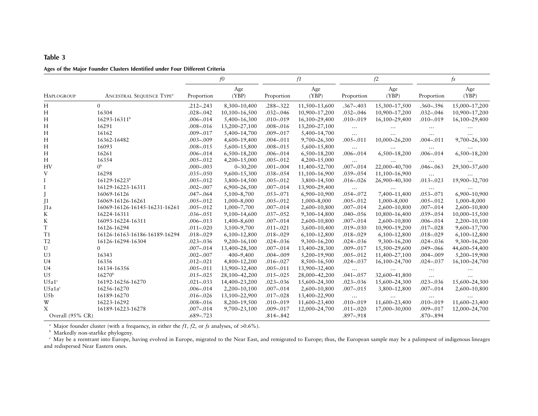#### **Table 3**

# **Ages of the Major Founder Clusters Identified under Four Different Criteria**

|                    |                                      |               | fQ              |               | f1              |               | f2              |               | fs              |
|--------------------|--------------------------------------|---------------|-----------------|---------------|-----------------|---------------|-----------------|---------------|-----------------|
| HAPLOGROUP         | ANCESTRAL SEQUENCE TYPE <sup>a</sup> | Proportion    | Age<br>(YBP)    | Proportion    | Age<br>(YBP)    | Proportion    | Age<br>(YBP)    | Proportion    | Age<br>(YBP)    |
| H                  | $\overline{0}$                       | $.212 - .243$ | 8,300-10,400    | $.288 - .322$ | 11,500-13,600   | $.367 - .403$ | 15,300-17,500   | $.360 - .396$ | 15,000-17,200   |
| H                  | 16304                                | $.028 - .042$ | 10,100-16,500   | $.032 - .046$ | 10,900-17,200   | $.032 - .046$ | 10,900-17,200   | $.032 - .046$ | 10,900-17,200   |
| H                  | 16293-16311 <sup>b</sup>             | $.006 - .014$ | 5,400-16,300    | $.010 - .019$ | 16,100-29,400   | $.010 - .019$ | 16,100-29,400   | $.010 - .019$ | 16,100-29,400   |
| H                  | 16291                                | $.008 - .016$ | 13,200-27,100   | $.008 - .016$ | 13,200-27,100   | $\ldots$      | $\cdots$        | $\cdots$      | $\ldots$        |
| H                  | 16162                                | $.009 - .017$ | 5,400-14,700    | $.009 - .017$ | 5,400-14,700    | $\cdots$      | $\ldots$        | $\cdots$      | $\cdots$        |
| H                  | 16362-16482                          | $.003 - .009$ | 4,600-19,400    | $.004 - .011$ | 9,700-26,300    | $.005 - .011$ | 10,000-26,200   | $.004 - .011$ | 9,700-26,300    |
| H                  | 16093                                | $.008 - .015$ | 5,600-15,800    | $.008 - .015$ | 5,600-15,800    | $\ldots$      | $\cdots$        | $\cdots$      | $\cdots$        |
| H                  | 16261                                | $.006 - .014$ | 6,500-18,200    | $.006 - .014$ | 6,500-18,200    | $.006 - .014$ | 6,500-18,200    | $.006 - .014$ | 6,500-18,200    |
| H                  | 16354                                | $.005 - .012$ | 4,200-15,000    | $.005 - .012$ | 4,200-15,000    | $\cdots$      | $\cdots$        | $\cdots$      | $\cdots$        |
| HV                 | 0 <sup>b</sup>                       | $.000 - .003$ | $0 - 30,200$    | $.001 - .004$ | 11,400-52,700   | $.007 - .014$ | 22,000-40,700   | $.046 - .063$ | 29,300-37,600   |
| V                  | 16298                                | $.035 - .050$ | 9,600-15,300    | $.038 - .054$ | 11,100-16,900   | $.039 - .054$ | 11,100-16,900   | $\cdots$      | $\cdots$        |
|                    | $16129 - 16223$ <sup>b</sup>         | $.005 - .012$ | 3,800-14,500    | $.005 - .012$ | 3,800-14,500    | $.016 - .026$ | 26,900-40,300   | $.013 - .023$ | 19,900-32,700   |
|                    | 16129-16223-16311                    | $.002 - .007$ | 6,900-26,500    | $.007 - .014$ | 13,900-29,400   | $\cdots$      | $\cdots$        | $\ldots$      | $\cdots$        |
|                    | 16069-16126                          | $.047 - .064$ | 5,100-8,700     | $.053 - .071$ | 6,900-10,900    | $.054 - .072$ | 7,400-11,400    | $.053 - .071$ | 6,900-10,900    |
| J <sub>1</sub>     | 16069-16126-16261                    | $.005 - .012$ | $1,000 - 8,000$ | $.005 - .012$ | $1,000 - 8,000$ | $.005 - .012$ | $1,000 - 8,000$ | $.005 - .012$ | $1,000 - 8,000$ |
| J1a                | 16069-16126-16145-16231-16261        | $.005 - .012$ | 1,000-7,700     | $.007 - .014$ | 2,600-10,800    | $.007 - .014$ | 2,600-10,800    | $.007 - .014$ | 2,600-10,800    |
| K                  | 16224-16311                          | $.036 - .051$ | 9,100-14,600    | $.037 - .052$ | 9,300-14,800    | $.040 - .056$ | 10,800-16,400   | $.039 - .054$ | 10,000-15,500   |
| K                  | 16093-16224-16311                    | $.006 - .013$ | 1,400-8,600     | $.007 - .014$ | 2,600-10,800    | $.007 - .014$ | 2,600-10,800    | $.006 - .014$ | 2,200-10,100    |
| T                  | 16126-16294                          | $.011 - .020$ | 3,100-9,700     | $.011 - .021$ | 3,600-10,400    | $.019 - .030$ | 10,900-19,200   | $.017 - .028$ | 9,600-17,700    |
| T1                 | 16126-16163-16186-16189-16294        | $.018 - .029$ | 6,100-12,800    | $.018 - .029$ | 6,100-12,800    | $.018 - .029$ | 6,100-12,800    | $.018 - .029$ | 6,100-12,800    |
| T <sub>2</sub>     | 16126-16294-16304                    | $.023 - .036$ | 9,200-16,100    | $.024 - .036$ | 9,300-16,200    | $.024 - .036$ | 9,300-16,200    | $.024 - .036$ | 9,300-16,200    |
| U                  | $\Omega$                             | $.007 - .014$ | 13,400-28,300   | $.007 - .014$ | 13,400-28,300   | $.009 - .017$ | 15,500-29,600   | $.049 - .066$ | 44,600-54,400   |
| U <sub>3</sub>     | 16343                                | $.002 - .007$ | $400 - 9,400$   | $.004 - .009$ | 5,200-19,900    | $.005 - .012$ | 11,400-27,100   | $.004 - .009$ | 5,200-19,900    |
| U <sub>4</sub>     | 16356                                | $.012 - .021$ | 4,800-12,200    | $.016 - .027$ | 8,500-16,500    | $.024 - .037$ | 16,100-24,700   | $.024 - .037$ | 16,100-24,700   |
| U <sub>4</sub>     | 16134-16356                          | $.005 - .011$ | 13,900-32,400   | $.005 - .011$ | 13,900-32,400   | $\ldots$      |                 | $\cdots$      | $\cdots$        |
| U <sub>5</sub>     | $16270^{\rm b}$                      | $.015 - .025$ | 28,100-42,200   | $.015 - .025$ | 28,000-42,200   | $.041 - .057$ | 32,600-41,800   | $\ldots$      | $\cdots$        |
| U5a1c              | 16192-16256-16270                    | $.021 - .033$ | 14,400-23,200   | $.023 - .036$ | 15,600-24,300   | $.023 - .036$ | 15,600-24,300   | $.023 - .036$ | 15,600-24,300   |
| U5a1a <sup>c</sup> | 16256-16270                          | $.006 - .014$ | 2,200-10,100    | $.007 - .014$ | 2,600-10,800    | $.007 - .015$ | 3,800-12,800    | $.007 - .014$ | 2,600-10,800    |
| U <sub>5</sub> b   | 16189-16270                          | $.016 - .026$ | 13,100-22,900   | $.017 - .028$ | 13,400-22,900   | $\cdots$      | $\ddotsc$       | $\cdots$      |                 |
| W                  | 16223-16292                          | $.008 - .016$ | 8,200-19,500    | $.010 - .019$ | 11,600-23,400   | $.010 - .019$ | 11,600-23,400   | $.010 - .019$ | 11,600-23,400   |
| X                  | 16189-16223-16278                    | $.007 - .014$ | 9,700-23,100    | $.009 - .017$ | 12,000-24,700   | $.011 - .020$ | 17,000-30,000   | $.009 - .017$ | 12,000-24,700   |
| Overall (95% CR)   |                                      | $.689 - .723$ |                 | $.814 - .842$ |                 | $.897 - .918$ |                 | $.870 - .894$ |                 |

<sup>a</sup> Major founder cluster (with a frequency, in either the  $f1$ ,  $f2$ , or  $f5$  analyses, of  $>0.6\%$ ).

b Markedly non-starlike <sup>p</sup>hylogeny.

 $^\circ$  May be a reentrant into Europe, having evolved in Europe, migrated to the Near East, and remigrated to Europe; thus, the European sample may be a palimpsest of indigenous lineages and redispersed Near Eastern ones.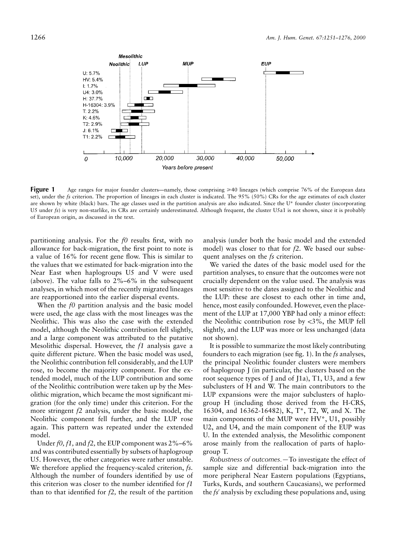

**Figure 1** Age ranges for major founder clusters—namely, those comprising ≥40 lineages (which comprise 76% of the European data set), under the *fs* criterion. The proportion of lineages in each cluster is indicated. The 95% (50%) CRs for the age estimates of each cluster are shown by white (black) bars. The age classes used in the partition analysis are also indicated. Since the U\* founder cluster (incorporating U5 under *fs*) is very non-starlike, its CRs are certainly underestimated. Although frequent, the cluster U5a1 is not shown, since it is probably of European origin, as discussed in the text.

partitioning analysis. For the *f0* results first, with no allowance for back-migration, the first point to note is a value of 16% for recent gene flow. This is similar to the values that we estimated for back-migration into the Near East when haplogroups U5 and V were used (above). The value falls to  $2\% - 6\%$  in the subsequent analyses, in which most of the recently migrated lineages are reapportioned into the earlier dispersal events.

When the *f0* partition analysis and the basic model were used, the age class with the most lineages was the Neolithic. This was also the case with the extended model, although the Neolithic contribution fell slightly, and a large component was attributed to the putative Mesolithic dispersal. However, the *f1* analysis gave a quite different picture. When the basic model was used, the Neolithic contribution fell considerably, and the LUP rose, to become the majority component. For the extended model, much of the LUP contribution and some of the Neolithic contribution were taken up by the Mesolithic migration, which became the most significant migration (for the only time) under this criterion. For the more stringent *f2* analysis, under the basic model, the Neolithic component fell further, and the LUP rose again. This pattern was repeated under the extended model.

Under  $f0$ ,  $f1$ , and  $f2$ , the EUP component was  $2\% - 6\%$ and was contributed essentially by subsets of haplogroup U5. However, the other categories were rather unstable. We therefore applied the frequency-scaled criterion, *fs.* Although the number of founders identified by use of this criterion was closer to the number identified for *f1* than to that identified for *f2,* the result of the partition

analysis (under both the basic model and the extended model) was closer to that for *f2.* We based our subsequent analyses on the *fs* criterion.

We varied the dates of the basic model used for the partition analyses, to ensure that the outcomes were not crucially dependent on the value used. The analysis was most sensitive to the dates assigned to the Neolithic and the LUP: these are closest to each other in time and, hence, most easily confounded. However, even the placement of the LUP at 17,000 YBP had only a minor effect: the Neolithic contribution rose by  $<3\%$ , the MUP fell slightly, and the LUP was more or less unchanged (data not shown).

It is possible to summarize the most likely contributing founders to each migration (see fig. 1). In the *fs* analyses, the principal Neolithic founder clusters were members of haplogroup J (in particular, the clusters based on the root sequence types of J and of J1a), T1, U3, and a few subclusters of H and W. The main contributors to the LUP expansions were the major subclusters of haplogroup H (including those derived from the H-CRS, 16304, and 16362-16482), K, T\*, T2, W, and X. The main components of the MUP were HV\*, U1, possibly U2, and U4, and the main component of the EUP was U. In the extended analysis, the Mesolithic component arose mainly from the reallocation of parts of haplogroup T.

*Robustness of outcomes.—*To investigate the effect of sample size and differential back-migration into the more peripheral Near Eastern populations (Egyptians, Turks, Kurds, and southern Caucasians), we performed the *fs'* analysis by excluding these populations and, using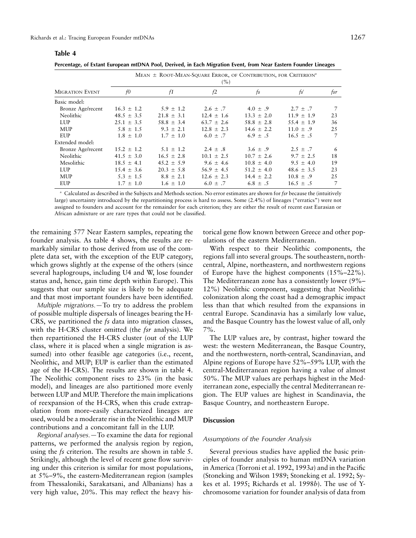**Table 4**

| $\cdot$ $\cdot$        |                                                                                   |                |                |                |                |                |  |  |  |
|------------------------|-----------------------------------------------------------------------------------|----------------|----------------|----------------|----------------|----------------|--|--|--|
|                        | MEAN ± ROOT-MEAN-SQUARE ERROR, OF CONTRIBUTION, FOR CRITERION <sup>a</sup><br>(%) |                |                |                |                |                |  |  |  |
| <b>MIGRATION EVENT</b> | fO                                                                                | f1             | f2             | fs             | fs'            | fsr            |  |  |  |
| Basic model:           |                                                                                   |                |                |                |                |                |  |  |  |
| Bronze Age/recent      | $16.3 \pm 1.2$                                                                    | $5.9 \pm 1.2$  | $2.6 \pm .7$   | 4.0 $\pm$ .9   | $2.7 \pm .7$   | 7              |  |  |  |
| Neolithic              | $48.5 \pm 3.5$                                                                    | $21.8 \pm 3.1$ | $12.4 \pm 1.6$ | $13.3 \pm 2.0$ | $11.9 \pm 1.9$ | 23             |  |  |  |
| <b>LUP</b>             | $25.1 \pm 3.5$                                                                    | $58.8 \pm 3.4$ | $63.7 \pm 2.6$ | $58.8 \pm 2.8$ | $55.4 \pm 1.9$ | 36             |  |  |  |
| <b>MUP</b>             | $5.8 \pm 1.5$                                                                     | $9.3 \pm 2.1$  | $12.8 \pm 2.3$ | $14.6 \pm 2.2$ | $11.0 \pm .9$  | 25             |  |  |  |
| EUP                    | $1.8 \pm 1.0$                                                                     | $1.7 + 1.0$    | 6.0 $\pm$ .7   | 6.9 $\pm$ .5   | $16.5 \pm .5$  | $\overline{7}$ |  |  |  |
| Extended model:        |                                                                                   |                |                |                |                |                |  |  |  |
| Bronze Age/recent      | $15.2 \pm 1.2$                                                                    | $5.1 \pm 1.2$  | $2.4 + .8$     | $3.6 \pm .9$   | $2.5 \pm .7$   | 6              |  |  |  |
| Neolithic              | $41.5 \pm 3.0$                                                                    | $16.5 \pm 2.8$ | $10.1 \pm 2.5$ | $10.7 \pm 2.6$ | $9.7 \pm 2.5$  | 18             |  |  |  |
| Mesolithic             | $18.5 \pm 4.1$                                                                    | $45.2 \pm 5.9$ | $9.6 \pm 4.6$  | $10.8 \pm 4.0$ | $9.5 \pm 4.0$  | 19             |  |  |  |
| <b>LUP</b>             | $15.4 \pm 3.6$                                                                    | $20.3 \pm 5.8$ | $56.9 \pm 4.5$ | $51.2 \pm 4.0$ | $48.6 \pm 3.5$ | 23             |  |  |  |
| <b>MUP</b>             | $5.3 \pm 1.5$                                                                     | $8.8 \pm 2.1$  | $12.6 \pm 2.3$ | $14.4 \pm 2.2$ | $10.8 \pm .9$  | 25             |  |  |  |
| <b>EUP</b>             | $1.7 \pm 1.0$                                                                     | $1.6 \pm 1.0$  | 6.0 $\pm$ .7   | 6.8 $\pm$ .5   | $16.5 \pm .5$  | 7              |  |  |  |

**Percentage, of Extant European mtDNA Pool, Derived, in Each Migration Event, from Near Eastern Founder Lineages**

<sup>a</sup> Calculated as described in the Subjects and Methods section. No error estimates are shown for *fsr* because the (intuitively large) uncertainty introduced by the repartitioning process is hard to assess. Some (2.4%) of lineages ("erratics") were not assigned to founders and account for the remainder for each criterion; they are either the result of recent east Eurasian or African admixture or are rare types that could not be classified.

the remaining 577 Near Eastern samples, repeating the founder analysis. As table 4 shows, the results are remarkably similar to those derived from use of the complete data set, with the exception of the EUP category, which grows slightly at the expense of the others (since several haplogroups, including U4 and W, lose founder status and, hence, gain time depth within Europe). This suggests that our sample size is likely to be adequate and that most important founders have been identified.

*Multiple migrations.—*To try to address the problem of possible multiple dispersals of lineages bearing the H-CRS, we partitioned the *fs* data into migration classes, with the H-CRS cluster omitted (the *fsr* analysis). We then repartitioned the H-CRS cluster (out of the LUP class, where it is placed when a single migration is assumed) into other feasible age categories (i.e., recent, Neolithic, and MUP; EUP is earlier than the estimated age of the H-CRS). The results are shown in table 4. The Neolithic component rises to 23% (in the basic model), and lineages are also partitioned more evenly between LUP and MUP. Therefore the main implications of reexpansion of the H-CRS, when this crude extrapolation from more–easily characterized lineages are used, would be a moderate rise in the Neolithic and MUP contributions and a concomitant fall in the LUP.

*Regional analyses.—*To examine the data for regional patterns, we performed the analysis region by region, using the *fs* criterion. The results are shown in table 5. Strikingly, although the level of recent gene flow surviving under this criterion is similar for most populations, at 5%–9%, the eastern-Mediterranean region (samples from Thessaloniki, Sarakatsani, and Albanians) has a very high value, 20%. This may reflect the heavy historical gene flow known between Greece and other populations of the eastern Mediterranean.

With respect to their Neolithic components, the regions fall into several groups. The southeastern, northcentral, Alpine, northeastern, and northwestern regions of Europe have the highest components (15%–22%). The Mediterranean zone has a consistently lower (9%– 12%) Neolithic component, suggesting that Neolithic colonization along the coast had a demographic impact less than that which resulted from the expansions in central Europe. Scandinavia has a similarly low value, and the Basque Country has the lowest value of all, only 7%.

The LUP values are, by contrast, higher toward the west: the western Mediterranean, the Basque Country, and the northwestern, north-central, Scandinavian, and Alpine regions of Europe have 52%–59% LUP, with the central-Mediterranean region having a value of almost 50%. The MUP values are perhaps highest in the Mediterranean zone, especially the central Mediterranean region. The EUP values are highest in Scandinavia, the Basque Country, and northeastern Europe.

#### **Discussion**

## *Assumptions of the Founder Analysis*

Several previous studies have applied the basic principles of founder analysis to human mtDNA variation in America (Torroni et al. 1992, 1993*a*) and in the Pacific (Stoneking and Wilson 1989; Stoneking et al. 1992; Sykes et al. 1995; Richards et al. 1998*b*). The use of Ychromosome variation for founder analysis of data from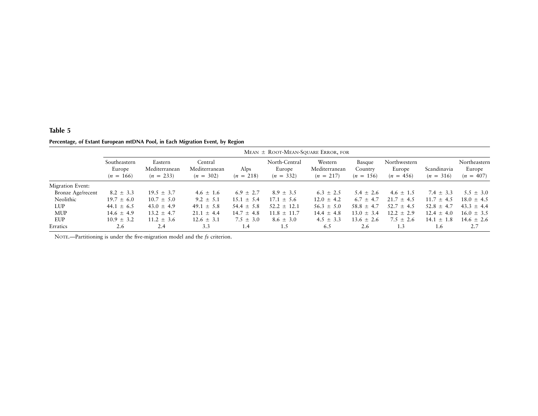| Table 5                                                                       |  |  |  |  |  |
|-------------------------------------------------------------------------------|--|--|--|--|--|
| Percentage, of Extant European mtDNA Pool, in Each Migration Event, by Region |  |  |  |  |  |

|                   | MEAN $\pm$ ROOT-MEAN-SQUARE ERROR, FOR |                                         |                                            |                     |                                        |                                         |                                  |                                       |                            |                                       |  |
|-------------------|----------------------------------------|-----------------------------------------|--------------------------------------------|---------------------|----------------------------------------|-----------------------------------------|----------------------------------|---------------------------------------|----------------------------|---------------------------------------|--|
|                   | Southeastern<br>Europe<br>$(n = 166)$  | Eastern<br>Mediterranean<br>$(n = 233)$ | Central<br>Mediterranean<br>302)<br>$(n =$ | Alps<br>$(n = 218)$ | North-Central<br>Europe<br>$(n = 332)$ | Western<br>Mediterranean<br>$(n = 217)$ | Basque<br>Country<br>$(n = 156)$ | Northwestern<br>Europe<br>$(n = 456)$ | Scandinavia<br>$(n = 316)$ | Northeastern<br>Europe<br>$(n = 407)$ |  |
| Migration Event:  |                                        |                                         |                                            |                     |                                        |                                         |                                  |                                       |                            |                                       |  |
| Bronze Age/recent | $8.2 \pm 3.3$                          | $19.5 + 3.7$                            | $4.6 + 1.6$                                | $6.9 + 2.7$         | $8.9 + 3.5$                            | $6.3 \pm 2.5$                           | $5.4 + 2.6$                      | $4.6 \pm 1.5$                         | $7.4 + 3.3$                | $5.5 + 3.0$                           |  |
| Neolithic         | $19.7 \pm 6.0$                         | $10.7 \pm 5.0$                          | $9.2 \pm 5.1$                              | $15.1 \pm 5.4$      | $17.1 \pm 5.6$                         | $12.0 \pm 4.2$                          | $6.7 + 4.7$                      | $21.7 \pm 4.5$                        | $11.7 \pm 4.5$             | $18.0 \pm 4.5$                        |  |
| <b>LUP</b>        | 44.1 $\pm$ 6.5                         | $43.0 + 4.9$                            | $49.1 \pm 5.8$                             | $54.4 \pm 5.8$      | $52.2 \pm 12.1$                        | $56.3 \pm 5.0$                          | $58.8 \pm 4.7$                   | $52.7 \pm 4.5$                        | $52.8 \pm 4.7$             | $43.3 \pm 4.4$                        |  |
| <b>MUP</b>        | $14.6 \pm 4.9$                         | $13.2 \pm 4.7$                          | $21.1 \pm 4.4$                             | $14.7 \pm 4.8$      | $11.8 \pm 11.7$                        | $14.4 \pm 4.8$                          | $13.0 \pm 3.4$                   | $12.2 \pm 2.9$                        | $12.4 \pm 4.0$             | $16.0 \pm 3.5$                        |  |
| <b>EUP</b>        | $10.9 \pm 3.2$                         | $11.2 \pm 3.6$                          | $12.6 \pm 3.1$                             | $7.5 + 3.0$         | $8.6 \pm 3.0$                          | $4.5 \pm 3.3$                           | $13.6 + 2.6$                     | $7.5 + 2.6$                           | $14.1 + 1.8$               | $14.6 \pm 2.6$                        |  |
| Erratics          | 2.6                                    | 2.4                                     | 3.3                                        | 1.4                 | 1.5                                    | 6.5                                     | 2.6                              | 1.3                                   | 1.6                        | 2.7                                   |  |

NOTE.—Partitioning is under the five-migration model and the *fs* criterion.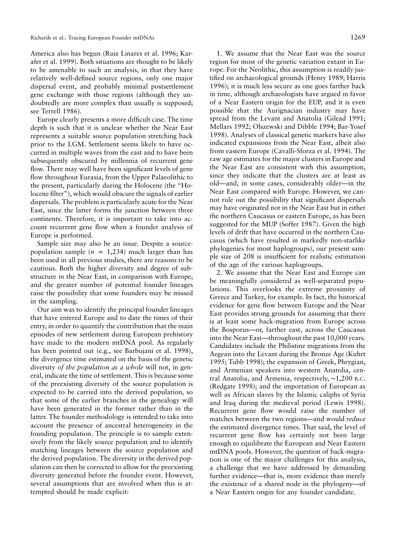America also has begun (Ruiz Linares et al. 1996; Karafet et al. 1999). Both situations are thought to be likely to be amenable to such an analysis, in that they have relatively well-defined source regions, only one major dispersal event, and probably minimal postsettlement gene exchange with those regions (although they undoubtedly are more complex than usually is supposed; see Terrell 1986).

Europe clearly presents a more difficult case. The time depth is such that it is unclear whether the Near East represents a suitable source population stretching back prior to the LGM. Settlement seems likely to have occurred in multiple waves from the east and to have been subsequently obscured by millennia of recurrent gene flow. There may well have been significant levels of gene flow throughout Eurasia, from the Upper Palaeolithic to the present, particularly during the Holocene (the "Holocene filter"), which would obscure the signals of earlier dispersals. The problem is particularly acute for the Near East, since the latter forms the junction between three continents. Therefore, it is important to take into account recurrent gene flow when a founder analysis of Europe is performed.

Sample size may also be an issue. Despite a sourcepopulation sample ( $n = 1,234$ ) much larger than has been used in all previous studies, there are reasons to be cautious. Both the higher diversity and degree of substructure in the Near East, in comparison with Europe, and the greater number of potential founder lineages raise the possibility that some founders may be missed in the sampling.

Our aim was to identify the principal founder lineages that have entered Europe and to date the times of their entry, in order to quantify the contribution that the main episodes of new settlement during European prehistory have made to the modern mtDNA pool. As regularly has been pointed out (e.g., see Barbujani et al. 1998), the divergence time estimated on the basis of the genetic diversity *of the population as a whole* will not, in general, indicate the time of settlement. This is because some of the preexisting diversity of the source population is expected to be carried into the derived population, so that some of the earlier branches in the genealogy will have been generated in the former rather than in the latter. The founder methodology is intended to take into account the presence of ancestral heterogeneity in the founding population. The principle is to sample extensively from the likely source population and to identify matching lineages between the source population and the derived population. The diversity in the derived population can then be corrected to allow for the preexisting diversity generated before the founder event. However, several assumptions that are involved when this is attempted should be made explicit:

1. We assume that the Near East was the source region for most of the genetic variation extant in Europe. For the Neolithic, this assumption is readily justified on archaeological grounds (Henry 1989; Harris 1996); it is much less secure as one goes farther back in time, although archaeologists have argued in favor of a Near Eastern origin for the EUP, and it is even possible that the Aurignacian industry may have spread from the Levant and Anatolia (Gilead 1991; Mellars 1992; Olszewski and Dibble 1994; Bar-Yosef 1998). Analyses of classical genetic markers have also indicated expansions from the Near East, albeit also from eastern Europe (Cavalli-Sforza et al. 1994). The raw age estimates for the major clusters in Europe and the Near East are consistent with this assumption, since they indicate that the clusters are at least as old—and, in some cases, considerably older—in the Near East compared with Europe. However, we cannot rule out the possibility that significant dispersals may have originated not in the Near East but in either the northern Caucasus or eastern Europe, as has been suggested for the MUP (Soffer 1987). Given the high levels of drift that have occurred in the northern Caucasus (which have resulted in markedly non-starlike phylogenies for most haplogroups), our present sample size of 208 is insufficient for realistic estimation of the age of the various haplogroups.

2. We assume that the Near East and Europe can be meaningfully considered as well-separated populations. This overlooks the extreme proximity of Greece and Turkey, for example. In fact, the historical evidence for gene flow between Europe and the Near East provides strong grounds for assuming that there is at least some back-migration from Europe across the Bosporus—or, farther east, across the Caucasus into the Near East—throughout the past 10,000 years. Candidates include the Philistine migrations from the Aegean into the Levant during the Bronze Age (Kuhrt 1995; Tubb 1998); the expansion of Greek, Phrygian, and Armenian speakers into western Anatolia, central Anatolia, and Armenia, respectively, ∼1,200 B.C. (Redgate 1998); and the importation of European as well as African slaves by the Islamic caliphs of Syria and Iraq during the medieval period (Lewis 1998). Recurrent gene flow would raise the number of matches between the two regions—and would *reduce* the estimated divergence times. That said, the level of recurrent gene flow has certainly not been large enough to equilibrate the European and Near Eastern mtDNA pools. However, the question of back-migration is one of the major challenges for this analysis, a challenge that we have addressed by demanding further evidence—that is, more evidence than merely the existence of a shared node in the phylogeny—of a Near Eastern origin for any founder candidate.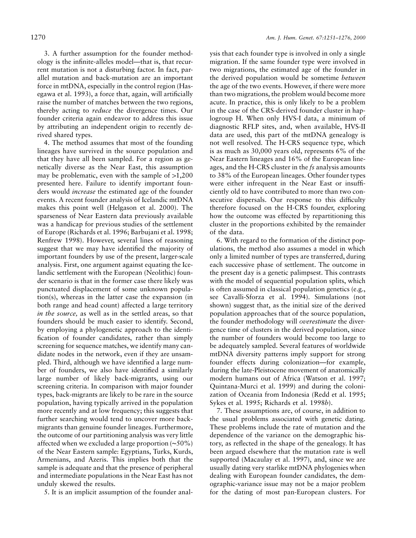3. A further assumption for the founder methodology is the infinite-alleles model—that is, that recurrent mutation is not a disturbing factor. In fact, parallel mutation and back-mutation are an important force in mtDNA, especially in the control region (Hasegawa et al. 1993), a force that, again, will artificially raise the number of matches between the two regions, thereby acting to *reduce* the divergence times. Our founder criteria again endeavor to address this issue by attributing an independent origin to recently derived shared types.

4. The method assumes that most of the founding lineages have survived in the source population and that they have all been sampled. For a region as genetically diverse as the Near East, this assumption may be problematic, even with the sample of  $>1,200$ presented here. Failure to identify important founders would *increase* the estimated age of the founder events. A recent founder analysis of Icelandic mtDNA makes this point well (Helgason et al. 2000). The sparseness of Near Eastern data previously available was a handicap for previous studies of the settlement of Europe (Richards et al. 1996; Barbujani et al. 1998; Renfrew 1998). However, several lines of reasoning suggest that we may have identified the majority of important founders by use of the present, larger-scale analysis. First, one argument against equating the Icelandic settlement with the European (Neolithic) founder scenario is that in the former case there likely was punctuated displacement of some unknown population(s), whereas in the latter case the expansion (in both range and head count) affected a large territory *in the source,* as well as in the settled areas, so that founders should be much easier to identify. Second, by employing a phylogenetic approach to the identification of founder candidates, rather than simply screening for sequence matches, we identify many candidate nodes in the network, even if they are unsampled. Third, although we have identified a large number of founders, we also have identified a similarly large number of likely back-migrants, using our screening criteria. In comparison with major founder types, back-migrants are likely to be rare in the source population, having typically arrived in the population more recently and at low frequency; this suggests that further searching would tend to uncover more backmigrants than genuine founder lineages. Furthermore, the outcome of our partitioning analysis was very little affected when we excluded a large proportion (∼50%) of the Near Eastern sample: Egyptians, Turks, Kurds, Armenians, and Azeris. This implies both that the sample is adequate and that the presence of peripheral and intermediate populations in the Near East has not unduly skewed the results.

5. It is an implicit assumption of the founder anal-

ysis that each founder type is involved in only a single migration. If the same founder type were involved in two migrations, the estimated age of the founder in the derived population would be sometime *between* the age of the two events. However, if there were more than two migrations, the problem would become more acute. In practice, this is only likely to be a problem in the case of the CRS-derived founder cluster in haplogroup H. When only HVS-I data, a minimum of diagnostic RFLP sites, and, when available, HVS-II data are used, this part of the mtDNA genealogy is not well resolved. The H-CRS sequence type, which is as much as 30,000 years old, represents 6% of the Near Eastern lineages and 16% of the European lineages, and the H-CRS cluster in the *fs* analysis amounts to 38% of the European lineages. Other founder types were either infrequent in the Near East or insufficiently old to have contributed to more than two consecutive dispersals. Our response to this difficulty therefore focused on the H-CRS founder, exploring how the outcome was effected by repartitioning this cluster in the proportions exhibited by the remainder of the data.

6. With regard to the formation of the distinct populations, the method also assumes a model in which only a limited number of types are transferred, during each successive phase of settlement. The outcome in the present day is a genetic palimpsest. This contrasts with the model of sequential population splits, which is often assumed in classical population genetics (e.g., see Cavalli-Sforza et al. 1994). Simulations (not shown) suggest that, as the initial size of the derived population approaches that of the source population, the founder methodology will *overestimate* the divergence time of clusters in the derived population, since the number of founders would become too large to be adequately sampled. Several features of worldwide mtDNA diversity patterns imply support for strong founder effects during colonization—for example, during the late-Pleistocene movement of anatomically modern humans out of Africa (Watson et al. 1997; Quintana-Murci et al. 1999) and during the colonization of Oceania from Indonesia (Redd et al. 1995; Sykes et al. 1995; Richards et al. 1998*b*).

7. These assumptions are, of course, in addition to the usual problems associated with genetic dating. These problems include the rate of mutation and the dependence of the variance on the demographic history, as reflected in the shape of the genealogy. It has been argued elsewhere that the mutation rate is well supported (Macaulay et al. 1997), and, since we are usually dating very starlike mtDNA phylogenies when dealing with European founder candidates, the demographic-variance issue may not be a major problem for the dating of most pan-European clusters. For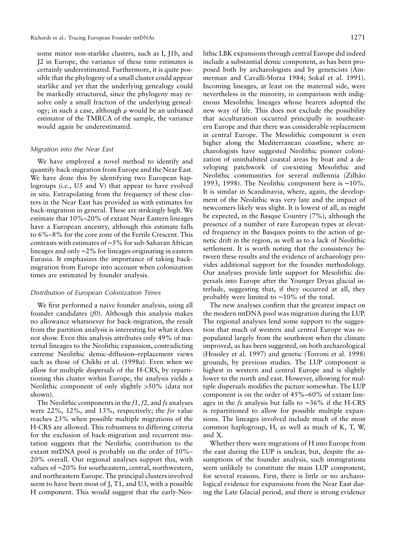some minor non-starlike clusters, such as I, J1b, and J2 in Europe, the variance of these time estimates is certainly underestimated. Furthermore, it is quite possible that the phylogeny of a small cluster could appear starlike and yet that the underlying genealogy could be markedly structured, since the phylogeny may resolve only a small fraction of the underlying genealogy; in such a case, although  $\rho$  would be an unbiased estimator of the TMRCA of the sample, the variance would again be underestimated.

#### *Migration into the Near East*

We have employed a novel method to identify and quantify back-migration from Europe and the Near East. We have done this by identifying two European haplogroups (i.e., U5 and V) that appear to have evolved in situ. Extrapolating from the frequency of these clusters in the Near East has provided us with estimates for back-migration in general. These are strikingly high. We estimate that 10%–20% of extant Near Eastern lineages have a European ancestry, although this estimate falls to 6%–8% for the core zone of the Fertile Crescent. This contrasts with estimates of ∼5% for sub-Saharan African lineages and only ∼2% for lineages originating in eastern Eurasia. It emphasizes the importance of taking backmigration from Europe into account when colonization times are estimated by founder analysis.

#### *Distribution of European Colonization Times*

We first performed a naive founder analysis, using all founder candidates (*f0*). Although this analysis makes no allowance whatsoever for back-migration, the result from the partition analysis is interesting for what it does not show. Even this analysis attributes only 49% of maternal lineages to the Neolithic expansion, contradicting extreme Neolithic demic-diffusion–replacement views such as those of Chikhi et al. (1998*a*). Even when we allow for multiple dispersals of the H-CRS, by repartitioning this cluster within Europe, the analysis yields a Neolithic component of only slightly  $>50\%$  (data not shown).

The Neolithic components in the *f1, f2,* and *fs* analyses were 22%, 12%, and 13%, respectively; the *fsr* value reaches 23% when possible multiple migrations of the H-CRS are allowed. This robustness to differing criteria for the exclusion of back-migration and recurrent mutation suggests that the Neolithic contribution to the extant mtDNA pool is probably on the order of 10%– 20% overall. Our regional analyses support this, with values of ∼20% for southeastern, central, northwestern, and northeastern Europe. The principal clusters involved seem to have been most of J, T1, and U3, with a possible H component. This would suggest that the early-Neo-

lithic LBK expansions through central Europe did indeed include a substantial demic component, as has been proposed both by archaeologists and by geneticists (Ammerman and Cavalli-Sforza 1984; Sokal et al. 1991). Incoming lineages, at least on the maternal side, were nevertheless in the minority, in comparison with indigenous Mesolithic lineages whose bearers adopted the new way of life. This does not exclude the possibility that acculturation occurred principally in southeastern Europe and that there was considerable replacement in central Europe. The Mesolithic component is even higher along the Mediterranean coastline, where archaeologists have suggested Neolithic pioneer colonization of uninhabited coastal areas by boat and a developing patchwork of coexisting Mesolithic and Neolithic communities for several millennia (Zilhão 1993, 1998). The Neolithic component here is ∼10%. It is similar in Scandinavia, where, again, the development of the Neolithic was very late and the impact of newcomers likely was slight. It is lowest of all, as might be expected, in the Basque Country (7%), although the presence of a number of rare European types at elevated frequency in the Basques points to the action of genetic drift in the region, as well as to a lack of Neolithic settlement. It is worth noting that the consistency between these results and the evidence of archaeology provides additional support for the founder methodology. Our analyses provide little support for Mesolithic dispersals into Europe after the Younger Dryas glacial interlude, suggesting that, if they occurred at all, they probably were limited to ∼10% of the total.

The new analyses confirm that the greatest impact on the modern mtDNA pool was migration during the LUP. The regional analyses lend some support to the suggestion that much of western and central Europe was repopulated largely from the southwest when the climate improved, as has been suggested, on both archaeological (Housley et al. 1997) and genetic (Torroni et al. 1998) grounds, by previous studies. The LUP component is highest in western and central Europe and is slightly lower to the north and east. However, allowing for multiple dispersals modifies the picture somewhat. The LUP component is on the order of 45%–60% of extant lineages in the *fs* analysis but falls to ∼36% if the H-CRS is repartitioned to allow for possible multiple expansions. The lineages involved include much of the most common haplogroup, H, as well as much of K, T, W, and X.

Whether there were migrations of H into Europe from the east during the LUP is unclear, but, despite the assumptions of the founder analysis, such immigrations seem unlikely to constitute the main LUP component, for several reasons. First, there is little or no archaeological evidence for expansions from the Near East during the Late Glacial period, and there is strong evidence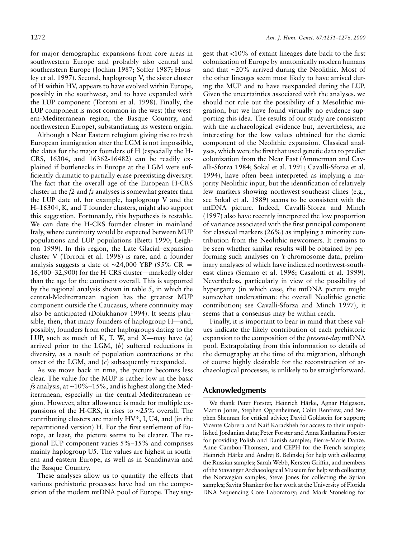for major demographic expansions from core areas in southwestern Europe and probably also central and southeastern Europe (Jochim 1987; Soffer 1987; Housley et al. 1997). Second, haplogroup V, the sister cluster of H within HV, appears to have evolved within Europe, possibly in the southwest, and to have expanded with the LUP component (Torroni et al. 1998). Finally, the LUP component is most common in the west (the western-Mediterranean region, the Basque Country, and northwestern Europe), substantiating its western origin.

Although a Near Eastern refugium giving rise to fresh European immigration after the LGM is not impossible, the dates for the major founders of H (especially the H-CRS, 16304, and 16362-16482) can be readily explained if bottlenecks in Europe at the LGM were sufficiently dramatic to partially erase preexisting diversity. The fact that the overall age of the European H-CRS cluster in the *f2* and *fs* analyses is somewhat greater than the LUP date of, for example, haplogroup V and the H–16304, K, and T founder clusters, might also support this suggestion. Fortunately, this hypothesis is testable. We can date the H-CRS founder cluster in mainland Italy, where continuity would be expected between MUP populations and LUP populations (Bietti 1990; Leighton 1999). In this region, the Late Glacial–expansion cluster V (Torroni et al. 1998) is rare, and a founder analysis suggests a date of ~24,000 YBP (95% CR = 16,400–32,900) for the H-CRS cluster—markedly older than the age for the continent overall. This is supported by the regional analysis shown in table 5, in which the central-Mediterranean region has the greatest MUP component outside the Caucasus, where continuity may also be anticipated (Dolukhanov 1994). It seems plausible, then, that many founders of haplogroup H—and, possibly, founders from other haplogroups dating to the LUP, such as much of K, T, W, and X—may have (*a*) arrived prior to the LGM, (*b*) suffered reductions in diversity, as a result of population contractions at the onset of the LGM, and (*c*) subsequently reexpanded.

As we move back in time, the picture becomes less clear. The value for the MUP is rather low in the basic *fs* analysis, at ∼10%–15%, and is highest along the Mediterranean, especially in the central-Mediterranean region. However, after allowance is made for multiple expansions of the H-CRS, it rises to ∼25% overall. The contributing clusters are mainly HV\*, I, U4, and (in the repartitioned version) H. For the first settlement of Europe, at least, the picture seems to be clearer. The regional EUP component varies 5%–15% and comprises mainly haplogroup U5. The values are highest in southern and eastern Europe, as well as in Scandinavia and the Basque Country.

These analyses allow us to quantify the effects that various prehistoric processes have had on the composition of the modern mtDNA pool of Europe. They sug-

gest that  $< 10\%$  of extant lineages date back to the first colonization of Europe by anatomically modern humans and that ∼20% arrived during the Neolithic. Most of the other lineages seem most likely to have arrived during the MUP and to have reexpanded during the LUP. Given the uncertainties associated with the analyses, we should not rule out the possibility of a Mesolithic migration, but we have found virtually no evidence supporting this idea. The results of our study are consistent with the archaeological evidence but, nevertheless, are interesting for the low values obtained for the demic component of the Neolithic expansion. Classical analyses, which were the first that used genetic data to predict colonization from the Near East (Ammerman and Cavalli-Sforza 1984; Sokal et al. 1991; Cavalli-Sforza et al. 1994), have often been interpreted as implying a majority Neolithic input, but the identification of relatively few markers showing northwest-southeast clines (e.g., see Sokal et al. 1989) seems to be consistent with the mtDNA picture. Indeed, Cavalli-Sforza and Minch (1997) also have recently interpreted the low proportion of variance associated with the first principal component for classical markers (26%) as implying a minority contribution from the Neolithic newcomers. It remains to be seen whether similar results will be obtained by performing such analyses on Y-chromosome data, preliminary analyses of which have indicated northwest-southeast clines (Semino et al. 1996; Casalotti et al. 1999). Nevertheless, particularly in view of the possibility of hypergamy (in which case, the mtDNA picture might somewhat underestimate the overall Neolithic genetic contribution; see Cavalli-Sforza and Minch 1997), it seems that a consensus may be within reach.

Finally, it is important to bear in mind that these values indicate the likely contribution of each prehistoric expansion to the composition of the *present-day* mtDNA pool. Extrapolating from this information to details of the demography at the time of the migration, although of course highly desirable for the reconstruction of archaeological processes, is unlikely to be straightforward.

## **Acknowledgments**

We thank Peter Forster, Heinrich Härke, Agnar Helgason, Martin Jones, Stephen Oppenheimer, Colin Renfrew, and Stephen Shennan for critical advice; David Goldstein for support; Vicente Cabrera and Naif Karadsheh for access to their unpublished Jordanian data; Peter Forster and Anna Katharina Forster for providing Polish and Danish samples; Pierre-Marie Danze, Anne Cambon-Thomsen, and CEPH for the French samples; Heinrich Härke and Andrej B. Belinskij for help with collecting the Russian samples; Sarah Webb, Kersten Griffin, and members of the Stavanger Archaeological Museum for help with collecting the Norwegian samples; Steve Jones for collecting the Syrian samples; Savita Shanker for her work at the University of Florida DNA Sequencing Core Laboratory; and Mark Stoneking for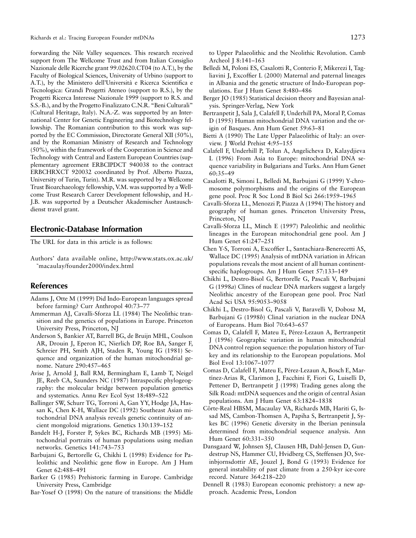Richards et al.: Tracing European Founder mtDNAs 1273

forwarding the Nile Valley sequences. This research received support from The Wellcome Trust and from Italian Consiglio Nazionale delle Ricerche grant 99.02620.CT04 (to A.T.), by the Faculty of Biological Sciences, University of Urbino (support to A.T.), by the Ministero dell'Universita` e Ricerca Scientifica e Tecnologica: Grandi Progetti Ateneo (support to R.S.), by the Progetti Ricerca Interesse Nazionale 1999 (support to R.S. and S.S.-B.), and by the Progetto Finalizzato C.N.R. "Beni Culturali" (Cultural Heritage, Italy). N.A.-Z. was supported by an International Center for Genetic Engineering and Biotechnology fellowship. The Romanian contribution to this work was supported by the EC Commission, Directorate General XII (50%), and by the Romanian Ministry of Research and Technology (50%), within the framework of the Cooperation in Science and Technology with Central and Eastern European Countries (supplementary agreement ERBCIPDCT 940038 to the contract ERBCHRXCT 920032 coordinated by Prof. Alberto Piazza, University of Turin, Turin). M.R. was supported by a Wellcome Trust Bioarchaeology fellowship, V.M. was supported by a Wellcome Trust Research Career Development fellowship, and H.- J.B. was supported by a Deutscher Akademischer Austauschdienst travel grant.

# **Electronic-Database Information**

The URL for data in this article is as follows:

Authors' data available online, http://www.stats.ox.ac.uk/ ˜macaulay/founder2000/index.html

## **References**

- Adams J, Otte M (1999) Did Indo-European languages spread before farming? Curr Anthropol 40:73–77
- Ammerman AJ, Cavalli-Sforza LL (1984) The Neolithic transition and the genetics of populations in Europe. Princeton University Press, Princeton, NJ
- Anderson S, Bankier AT, Barrell BG, de Bruijn MHL, Coulson AR, Drouin J, Eperon IC, Nierlich DP, Roe BA, Sanger F, Schreier PH, Smith AJH, Staden R, Young IG (1981) Sequence and organization of the human mitochondrial genome. Nature 290:457–465
- Avise J, Arnold J, Ball RM, Bermingham E, Lamb T, Neigel JE, Reeb CA, Saunders NC (1987) Intraspecific phylogeography: the molecular bridge between population genetics and systematics. Annu Rev Ecol Syst 18:489–522
- Ballinger SW, Schurr TG, Torroni A, Gan YY, Hodge JA, Hassan K, Chen K-H, Wallace DC (1992) Southeast Asian mitochondrial DNA analysis reveals genetic continuity of ancient mongoloid migrations. Genetics 130:139–152
- Bandelt H-J, Forster P, Sykes BC, Richards MB (1995) Mitochondrial portraits of human populations using median networks. Genetics 141:743–753
- Barbujani G, Bertorelle G, Chikhi L (1998) Evidence for Paleolithic and Neolithic gene flow in Europe. Am J Hum Genet 62:488–491
- Barker G (1985) Prehistoric farming in Europe. Cambridge University Press, Cambridge
- Bar-Yosef O (1998) On the nature of transitions: the Middle

to Upper Palaeolithic and the Neolithic Revolution. Camb Archeol J 8:141–163

- Belledi M, Poloni ES, Casalotti R, Conterio F, Mikerezi I, Tagliavini J, Excoffier L (2000) Maternal and paternal lineages in Albania and the genetic structure of Indo-European populations. Eur J Hum Genet 8:480–486
- Berger JO (1985) Statistical decision theory and Bayesian analysis. Springer-Verlag, New York
- Bertranpetit J, Sala J, Calafell F, Underhill PA, Moral P, Comas D (1995) Human mitochondrial DNA variation and the origin of Basques. Ann Hum Genet 59:63–81
- Bietti A (1990) The Late Upper Palaeolithic of Italy: an overview. J World Prehist 4:95–155
- Calafell F, Underhill P, Tolun A, Angelicheva D, Kalaydjieva L (1996) From Asia to Europe: mitochondrial DNA sequence variability in Bulgarians and Turks. Ann Hum Genet 60:35–49
- Casalotti R, Simoni L, Belledi M, Barbujani G (1999) Y-chromosome polymorphisms and the origins of the European gene pool. Proc R Soc Lond B Biol Sci 266:1959–1965
- Cavalli-Sforza LL, Menozzi P, Piazza A (1994) The history and geography of human genes. Princeton University Press, Princeton, NJ
- Cavalli-Sforza LL, Minch E (1997) Paleolithic and neolithic lineages in the European mitochondrial gene pool. Am J Hum Genet 61:247–251
- Chen Y-S, Torroni A, Excoffier L, Santachiara-Benerecetti AS, Wallace DC (1995) Analysis of mtDNA variation in African populations reveals the most ancient of all human continentspecific haplogroups. Am J Hum Genet 57:133–149
- Chikhi L, Destro-Bisol G, Bertorelle G, Pascali V, Barbujani G (1998*a*) Clines of nuclear DNA markers suggest a largely Neolithic ancestry of the European gene pool. Proc Natl Acad Sci USA 95:9053–9058
- Chikhi L, Destro-Bisol G, Pascali V, Baravelli V, Dobosz M, Barbujani G (1998*b*) Clinal variation in the nuclear DNA of Europeans. Hum Biol 70:643–657
- Comas D, Calafell F, Mateu E, Pérez-Lezaun A, Bertranpetit J (1996) Geographic variation in human mitochondrial DNA control region sequence: the population history of Turkey and its relationship to the European populations. Mol Biol Evol 13:1067–1077
- Comas D, Calafell F, Mateu E, Pérez-Lezaun A, Bosch E, Martínez-Arias R, Clarimon J, Facchini F, Fiori G, Luiselli D, Pettener D, Bertranpetit J (1998) Trading genes along the Silk Road: mtDNA sequences and the origin of central Asian populations. Am J Hum Genet 63:1824–1838
- Côrte-Real HBSM, Macaulay VA, Richards MB, Hariti G, Issad MS, Cambon-Thomsen A, Papiha S, Bertranpetit J, Sykes BC (1996) Genetic diversity in the Iberian peninsula determined from mitochondrial sequence analysis. Ann Hum Genet 60:331–350
- Dansgaard W, Johnsen SJ, Clausen HB, Dahl-Jensen D, Gundestrup NS, Hammer CU, Hvidberg CS, Steffensen JO, Sveinbjornsdottir AE, Jouzel J, Bond G (1993) Evidence for general instability of past climate from a 250-kyr ice-core record. Nature 364:218–220
- Dennell R (1983) European economic prehistory: a new approach. Academic Press, London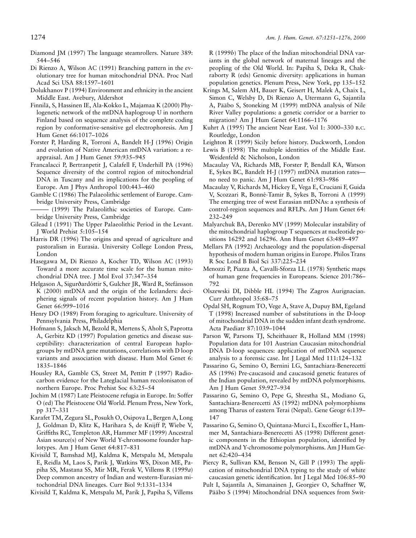- Diamond JM (1997) The language steamrollers. Nature 389: 544–546
- Di Rienzo A, Wilson AC (1991) Branching pattern in the evolutionary tree for human mitochondrial DNA. Proc Natl Acad Sci USA 88:1597–1601
- Dolukhanov P (1994) Environment and ethnicity in the ancient Middle East. Avebury, Aldershot
- Finnila¨, S, Hassinen IE, Ala-Kokko L, Majamaa K (2000) Phylogenetic network of the mtDNA haplogroup U in northern Finland based on sequence analysis of the complete coding region by conformative-sensitive gel electrophoresis. Am J Hum Genet 66:1017–1026
- Forster P, Harding R, Torroni A, Bandelt H-J (1996) Origin and evolution of Native American mtDNA variation: a reappraisal. Am J Hum Genet 59:935–945
- Francalacci P, Bertranpetit J, Calafell F, Underhill PA (1996) Sequence diversity of the control region of mitochondrial DNA in Tuscany and its implications for the peopling of Europe. Am J Phys Anthropol 100:443–460
- Gamble C (1986) The Palaeolithic settlement of Europe. Cambridge University Press, Cambridge
- (1999) The Palaeolithic societies of Europe. Cambridge University Press, Cambridge
- Gilead I (1991) The Upper Palaeolithic Period in the Levant. J World Prehist 5:105–154
- Harris DR (1996) The origins and spread of agriculture and pastoralism in Eurasia. University College London Press, London
- Hasegawa M, Di Rienzo A, Kocher TD, Wilson AC (1993) Toward a more accurate time scale for the human mitochondrial DNA tree. J Mol Evol 37:347–354
- Helgason A, Sigurðardóttir S, Gulcher JR, Ward R, Stefánsson K (2000) mtDNA and the origin of the Icelanders: deciphering signals of recent population history. Am J Hum Genet 66:999–1016
- Henry DO (1989) From foraging to agriculture. University of Pennsylvania Press, Philadelphia
- Hofmann S, Jaksch M, Bezold R, Mertens S, Aholt S, Paprotta A, Gerbitz KD (1997) Population genetics and disease susceptibility: characterization of central European haplogroups by mtDNA gene mutations, correlations with D loop variants and association with disease. Hum Mol Genet 6: 1835–1846
- Housley RA, Gamble CS, Street M, Pettitt P (1997) Radiocarbon evidence for the Lateglacial human recolonisaton of northern Europe. Proc Prehist Soc 63:25–54
- Jochim M (1987) Late Pleistocene refugia in Europe. In: Soffer O (ed) The Pleistocene Old World. Plenum Press, New York, pp 317–331
- Karafet TM, Zegura SL, Posukh O, Osipova L, Bergen A, Long J, Goldman D, Klitz K, Harihara S, de Knijff P, Wiebe V, Griffiths RC, Templeton AR, Hammer MF (1999) Ancestral Asian source(s) of New World Y-chromosome founder haplotypes. Am J Hum Genet 64:817–831
- Kivisild T, Bamshad MJ, Kaldma K, Metspalu M, Metspalu E, Reidla M, Laos S, Parik J, Watkins WS, Dixon ME, Papiha SS, Mastana SS, Mir MR, Ferak V, Villems R (1999*a*) Deep common ancestry of Indian and western-Eurasian mitochondrial DNA lineages. Curr Biol 9:1331–1334

Kivisild T, Kaldma K, Metspalu M, Parik J, Papiha S, Villems

R (1999*b*) The place of the Indian mitochondrial DNA variants in the global network of maternal lineages and the peopling of the Old World. In: Papiha S, Deka R, Chakraborty R (eds) Genomic diversity: applications in human population genetics. Plenum Press, New York, pp 135–152

- Krings M, Salem AH, Bauer K, Geisert H, Malek A, Chaix L, Simon C, Welsby D, Di Rienzo A, Utermann G, Sajantila A, Pääbo S, Stoneking M (1999) mtDNA analysis of Nile River Valley populations: a genetic corridor or a barrier to migration? Am J Hum Genet 64:1166–1176
- Kuhrt A (1995) The ancient Near East. Vol 1: 3000–330 B.C. Routledge, London
- Leighton R (1999) Sicily before history. Duckworth, London
- Lewis B (1998) The multiple identities of the Middle East. Weidenfeld & Nicholson, London
- Macaulay VA, Richards MB, Forster P, Bendall KA, Watson E, Sykes BC, Bandelt H-J (1997) mtDNA mutation rates no need to panic. Am J Hum Genet 61:983–986
- Macaulay V, Richards M, Hickey E, Vega E, Cruciani F, Guida V, Scozzari R, Bonné-Tamir B, Sykes B, Torroni A (1999) The emerging tree of west Eurasian mtDNAs: a synthesis of control-region sequences and RFLPs. Am J Hum Genet 64: 232–249
- Malyarchuk BA, Derenko MV (1999) Molecular instability of the mitochondrial haplogroup T sequences at nucleotide positions 16292 and 16296. Ann Hum Genet 63:489–497
- Mellars PA (1992) Archaeology and the population-dispersal hypothesis of modern human origins in Europe. Philos Trans R Soc Lond B Biol Sci 337:225–234
- Menozzi P, Piazza A, Cavalli-Sforza LL (1978) Synthetic maps of human gene frequencies in Europeans. Science 201:786– 792
- Olszewski DI, Dibble HL (1994) The Zagros Aurignacian. Curr Anthropol 35:68–75
- Opdal SH, Rognum TO, Vege A, Stave A, Dupuy BM, Egeland T (1998) Increased number of substitutions in the D-loop of mitochondrial DNA in the sudden infant death syndrome. Acta Paediatr 87:1039–1044
- Parson W, Parsons TJ, Scheithauer R, Holland MM (1998) Population data for 101 Austrian Caucasian mitochondrial DNA D-loop sequences: application of mtDNA sequence analysis to a forensic case. Int J Legal Med 111:124–132
- Passarino G, Semino O, Bernini LG, Santachiara-Benerecetti AS (1996) Pre-caucasoid and caucasoid genetic features of the Indian population, revealed by mtDNA polymorphisms. Am J Hum Genet 59:927–934
- Passarino G, Semino O, Pepe G, Shrestha SL, Modiano G, Santachiara-Benerecetti AS (1992) mtDNA polymorphisms among Tharus of eastern Terai (Nepal). Gene Geogr 6:139– 147
- Passarino G, Semino O, Quintana-Murci L, Excoffier L, Hammer M, Santachiara-Benerecetti AS (1998) Different genetic components in the Ethiopian population, identified by mtDNA and Y-chromosome polymorphisms. Am J Hum Genet 62:420–434
- Piercy R, Sullivan KM, Benson N, Gill P (1993) The application of mitochondrial DNA typing to the study of white caucasian genetic identification. Int J Legal Med 106:85–90
- Pult I, Sajantila A, Simanainen J, Georgiev O, Schaffner W, Pääbo S (1994) Mitochondrial DNA sequences from Swit-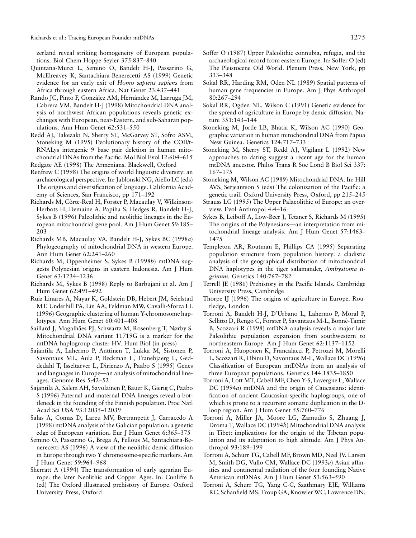zerland reveal striking homogeneity of European populations. Biol Chem Hoppe Seyler 375:837–840

- Quintana-Murci L, Semino O, Bandelt H-J, Passarino G, McElreavey K, Santachiara-Benerecetti AS (1999) Genetic evidence for an early exit of *Homo sapiens sapiens* from Africa through eastern Africa. Nat Genet 23:437–441
- Rando JC, Pinto F, González AM, Hernández M, Larruga JM, Cabrera VM, Bandelt H-J (1998) Mitochondrial DNA analysis of northwest African populations reveals genetic exchanges with European, near-Eastern, and sub-Saharan populations. Ann Hum Genet 62:531–550
- Redd AJ, Takezaki N, Sherry ST, McGarvey ST, Sofro ASM, Stoneking M (1995) Evolutionary history of the COII/t-RNALys intergenic 9 base pair deletion in human mitochondrial DNAs from the Pacific. Mol Biol Evol 12:604–615
- Redgate AE (1998) The Armenians. Blackwell, Oxford
- Renfrew C (1998) The origins of world linguistic diversity: an archaeological perspective. In: Jablonski NG, Aiello LC (eds) The origins and diversification of language. California Academy of Sciences, San Francisco, pp 171–192
- Richards M, Côrte-Real H, Forster P, Macaulay V, Wilkinson-Herbots H, Demaine A, Papiha S, Hedges R, Bandelt H-J, Sykes B (1996) Paleolithic and neolithic lineages in the European mitochondrial gene pool. Am J Hum Genet 59:185– 203
- Richards MB, Macaulay VA, Bandelt H-J, Sykes BC (1998*a*) Phylogeography of mitochondrial DNA in western Europe. Ann Hum Genet 62:241–260
- Richards M, Oppenheimer S, Sykes B (1998*b*) mtDNA suggests Polynesian origins in eastern Indonesia. Am J Hum Genet 63:1234–1236
- Richards M, Sykes B (1998) Reply to Barbujani et al. Am J Hum Genet 62:491–492
- Ruiz Linares A, Nayar K, Goldstein DB, Hebert JM, Seielstad MT, Underhill PA, Lin AA, Feldman MW, Cavalli-Sforza LL (1996) Geographic clustering of human Y-chromosome haplotypes. Ann Hum Genet 60:401–408
- Saillard J, Magalhães PJ, Schwartz M, Rosenberg T, Nørby S. Mitochondrial DNA variant 11719G is a marker for the mtDNA haplogroup cluster HV. Hum Biol (in press)
- Sajantila A, Lahermo P, Anttinen T, Lukka M, Sistonen P, Savontaus ML, Aula P, Beckman L, Tranebjaerg L, Geddedahl T, Isseltarver L, Dirienzo A, Paabo S (1995) Genes and languages in Europe—an analysis of mitochondrial lineages. Genome Res 5:42–52
- Sajantila A, Salem AH, Savolainen P, Bauer K, Gierig C, Pääbo S (1996) Paternal and maternal DNA lineages reveal a bottleneck in the founding of the Finnish population. Proc Natl Acad Sci USA 93:12035–12039
- Salas A, Comas D, Lareu MV, Bertranpetit J, Carracedo A (1998) mtDNA analysis of the Galician population: a genetic edge of European variation. Eur J Hum Genet 6:365–375
- Semino O, Passarino G, Brega A, Fellous M, Santachiara-Benerecetti AS (1996) A view of the neolithic demic diffusion in Europe through two Y chromosome-specific markers. Am J Hum Genet 59:964–968
- Sherratt A (1994) The transformation of early agrarian Europe: the later Neolithic and Copper Ages. In: Cunliffe B (ed) The Oxford illustrated prehistory of Europe. Oxford University Press, Oxford
- Soffer O (1987) Upper Paleolithic connubia, refugia, and the archaeological record from eastern Europe. In: Soffer O (ed) The Pleistocene Old World. Plenum Press, New York, pp 333–348
- Sokal RR, Harding RM, Oden NL (1989) Spatial patterns of human gene frequencies in Europe. Am J Phys Anthropol 80:267–294
- Sokal RR, Ogden NL, Wilson C (1991) Genetic evidence for the spread of agriculture in Europe by demic diffusion. Nature 351:143–144
- Stoneking M, Jorde LB, Bhatia K, Wilson AC (1990) Geographic variation in human mitochondrial DNA from Papua New Guinea. Genetics 124:717–733
- Stoneking M, Sherry ST, Redd AJ, Vigilant L (1992) New approaches to dating suggest a recent age for the human mtDNA ancestor. Philos Trans R Soc Lond B Biol Sci 337: 167–175
- Stoneking M, Wilson AC (1989) Mitochondrial DNA. In: Hill AVS, Serjeantson S (eds) The colonization of the Pacific: a genetic trail. Oxford University Press, Oxford, pp 215–245
- Strauss LG (1995) The Upper Palaeolithic of Europe: an overview. Evol Anthropol 4:4–16
- Sykes B, Leiboff A, Low-Beer J, Tetzner S, Richards M (1995) The origins of the Polynesians—an interpretation from mitochondrial lineage analysis. Am J Hum Genet 57:1463– 1475
- Templeton AR, Routman E, Phillips CA (1995) Separating population structure from population history: a cladistic analysis of the geographical distribution of mitochondrial DNA haplotypes in the tiger salamander, *Ambystoma tigrinum.* Genetics 140:767–782
- Terrell JE (1986) Prehistory in the Pacific Islands. Cambridge University Press, Cambridge
- Thorpe IJ (1996) The origins of agriculture in Europe. Routledge, London
- Torroni A, Bandelt H-J, D'Urbano L, Lahermo P, Moral P, Sellitto D, Rengo C, Forster P, Savantaus M-L, Bonné-Tamir B, Scozzari R (1998) mtDNA analysis reveals a major late Paleolithic population expansion from southwestern to northeastern Europe. Am J Hum Genet 62:1137–1152
- Torroni A, Huoponen K, Francalacci P, Petrozzi M, Morelli L, Scozzari R, Obinu D, Savontaus M-L, Wallace DC (1996) Classification of European mtDNAs from an analysis of three European populations. Genetics 144:1835–1850
- Torroni A, Lott MT, Cabell MF, Chen Y-S, Lavergne L, Wallace DC (1994*a*) mtDNA and the origin of Caucasians: identification of ancient Caucasian-specific haplogroups, one of which is prone to a recurrent somatic duplication in the Dloop region. Am J Hum Genet 55:760–776
- Torroni A, Miller JA, Moore LG, Zamudio S, Zhuang J, Droma T, Wallace DC (1994*b*) Mitochondrial DNA analysis in Tibet: implications for the origin of the Tibetan population and its adaptation to high altitude. Am J Phys Anthropol 93:189–199
- Torroni A, Schurr TG, Cabell MF, Brown MD, Neel JV, Larsen M, Smith DG, Vullo CM, Wallace DC (1993*a*) Asian affinities and continental radiation of the four founding Native American mtDNAs. Am J Hum Genet 53:563–590
- Torroni A, Schurr TG, Yang C-C, Szathmary EJE, Williams RC, Schanfield MS, Troup GA, Knowler WC, Lawrence DN,